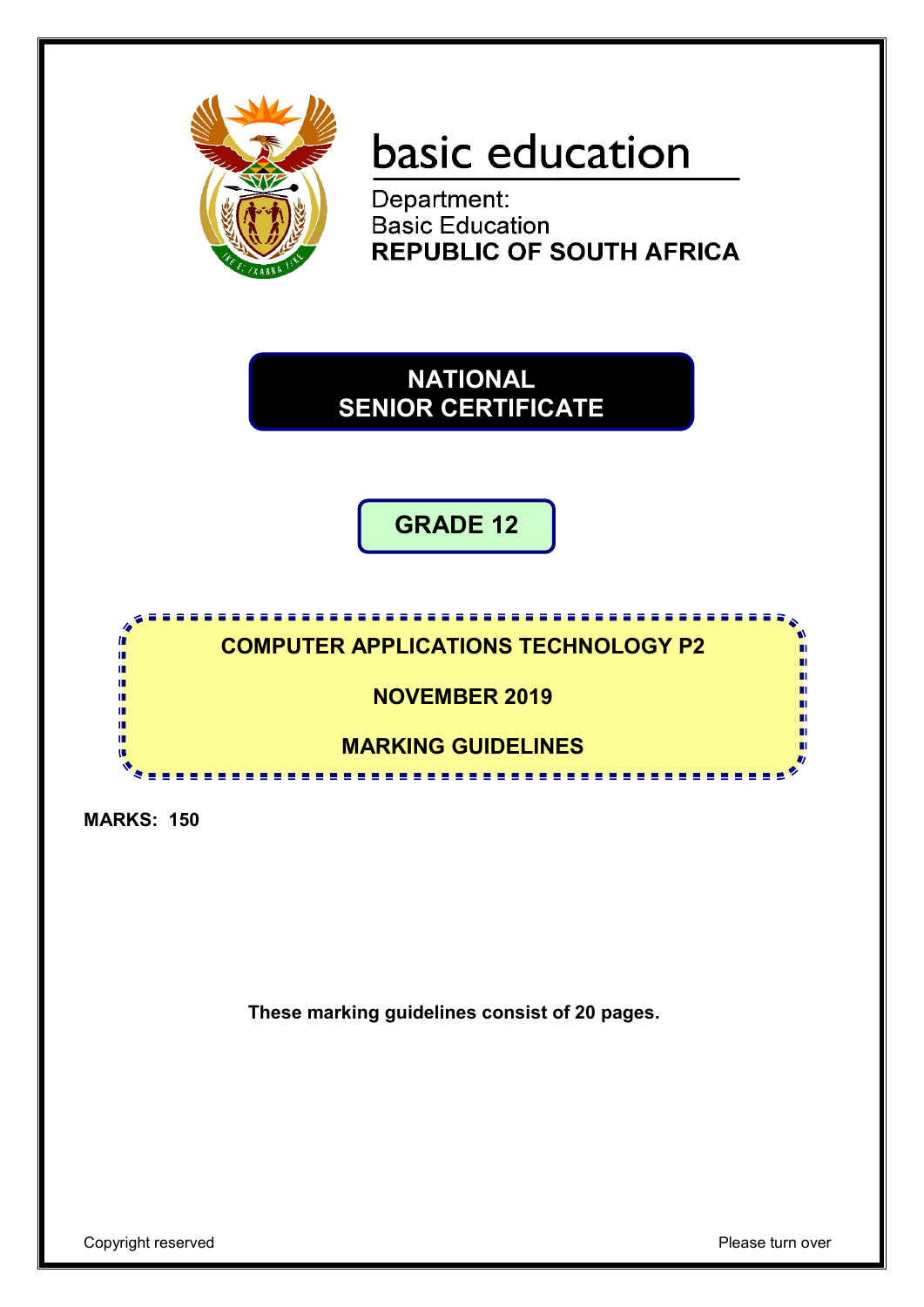

# basic education

Department: **Basic Education REPUBLIC OF SOUTH AFRICA** 

**NATIONAL SENIOR CERTIFICATE**

**GRADE 12**



**MARKS: 150**

**These marking guidelines consist of 20 pages.**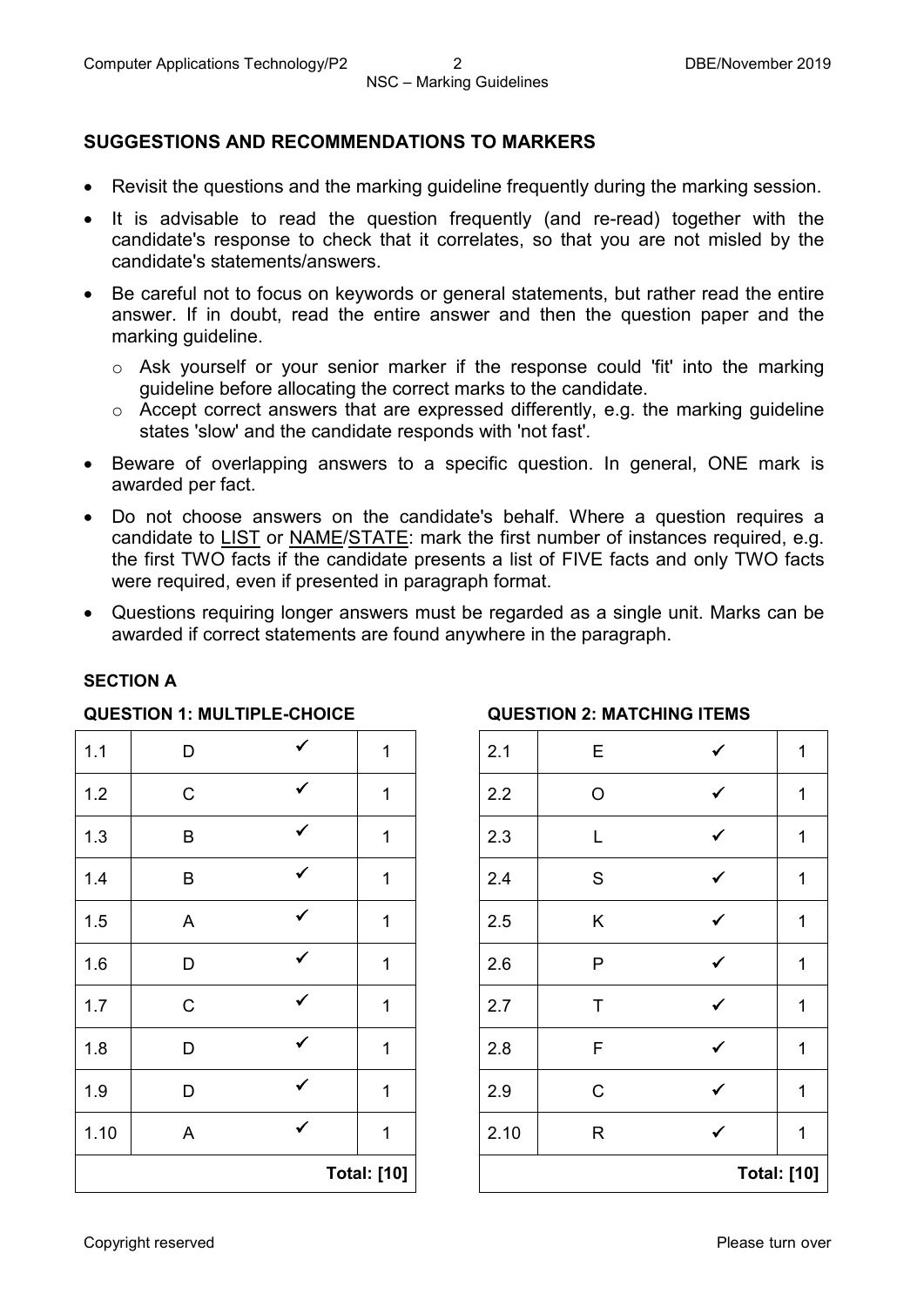## **SUGGESTIONS AND RECOMMENDATIONS TO MARKERS**

- Revisit the questions and the marking guideline frequently during the marking session.
- It is advisable to read the question frequently (and re-read) together with the candidate's response to check that it correlates, so that you are not misled by the candidate's statements/answers.
- Be careful not to focus on keywords or general statements, but rather read the entire answer. If in doubt, read the entire answer and then the question paper and the marking guideline.
	- o Ask yourself or your senior marker if the response could 'fit' into the marking guideline before allocating the correct marks to the candidate.
	- $\circ$  Accept correct answers that are expressed differently, e.g. the marking quideline states 'slow' and the candidate responds with 'not fast'.
- Beware of overlapping answers to a specific question. In general, ONE mark is awarded per fact.
- Do not choose answers on the candidate's behalf. Where a question requires a candidate to LIST or NAME/STATE: mark the first number of instances required, e.g. the first TWO facts if the candidate presents a list of FIVE facts and only TWO facts were required, even if presented in paragraph format.
- Questions requiring longer answers must be regarded as a single unit. Marks can be awarded if correct statements are found anywhere in the paragraph.

#### **SECTION A**

#### **QUESTION 1: MULTIPLE-CHOICE QUESTION 2: MATCHING ITEMS**

| 1.3<br>$\sf B$<br>$\checkmark$<br>$\sf B$<br>$1.4$<br>$\checkmark$<br>1.5<br>A<br>$\checkmark$<br>1.6<br>D<br>$\checkmark$<br>$\mathbf C$<br>$1.7$<br>$\checkmark$<br>1.8<br>D<br>$\checkmark$<br>1.9<br>D<br>$\checkmark$<br>1.10<br>A | 1 | 2.9<br>2.10 | $\mathsf C$<br>$\mathsf R$ | ✔            | 1<br>1 |
|-----------------------------------------------------------------------------------------------------------------------------------------------------------------------------------------------------------------------------------------|---|-------------|----------------------------|--------------|--------|
|                                                                                                                                                                                                                                         |   |             |                            |              |        |
|                                                                                                                                                                                                                                         |   |             |                            |              |        |
|                                                                                                                                                                                                                                         | 1 | 2.8         | $\mathsf F$                | $\checkmark$ | 1      |
|                                                                                                                                                                                                                                         | 1 | 2.7         | T                          | $\checkmark$ | 1      |
|                                                                                                                                                                                                                                         | 1 | 2.6         | $\mathsf P$                | $\checkmark$ | 1      |
|                                                                                                                                                                                                                                         | 1 | 2.5         | $\sf K$                    |              | 1      |
|                                                                                                                                                                                                                                         | 1 | 2.4         | ${\mathsf S}$              | $\checkmark$ | 1      |
| $\checkmark$                                                                                                                                                                                                                            | 1 | 2.3         | L                          | ✓            | 1      |
| $\checkmark$<br>$\mathbf C$<br>$1.2$                                                                                                                                                                                                    | 1 | 2.2         | $\bigcirc$                 | ✓            | 1      |
| $\checkmark$<br>1.1<br>D                                                                                                                                                                                                                | 1 | 2.1         | E                          | $\checkmark$ | 1      |

| <b>Total: [10]</b> | <b>Total: [10]</b> |               |              |              |
|--------------------|--------------------|---------------|--------------|--------------|
| $\mathbf 1$        | 2.10               | R             | $\checkmark$ | 1            |
| 1                  | 2.9                | $\mathsf C$   | ✓            | 1            |
| $\mathbf 1$        | 2.8                | F             | $\checkmark$ | 1            |
| $\mathbf{1}$       | 2.7                | $\sf T$       | $\checkmark$ | 1            |
| $\mathbf{1}$       | 2.6                | ${\sf P}$     | $\checkmark$ | $\mathbf{1}$ |
| $\mathbf{1}$       | 2.5                | Κ             | ✓            | $\mathbf{1}$ |
| $\mathbf 1$        | 2.4                | ${\mathsf S}$ | $\checkmark$ | 1            |
| 1                  | 2.3                | L             | $\checkmark$ | 1            |
| 1                  | 2.2                | O             | $\checkmark$ | 1            |
| $\mathbf{1}$       | 2.1                | E             | ✓            | 1            |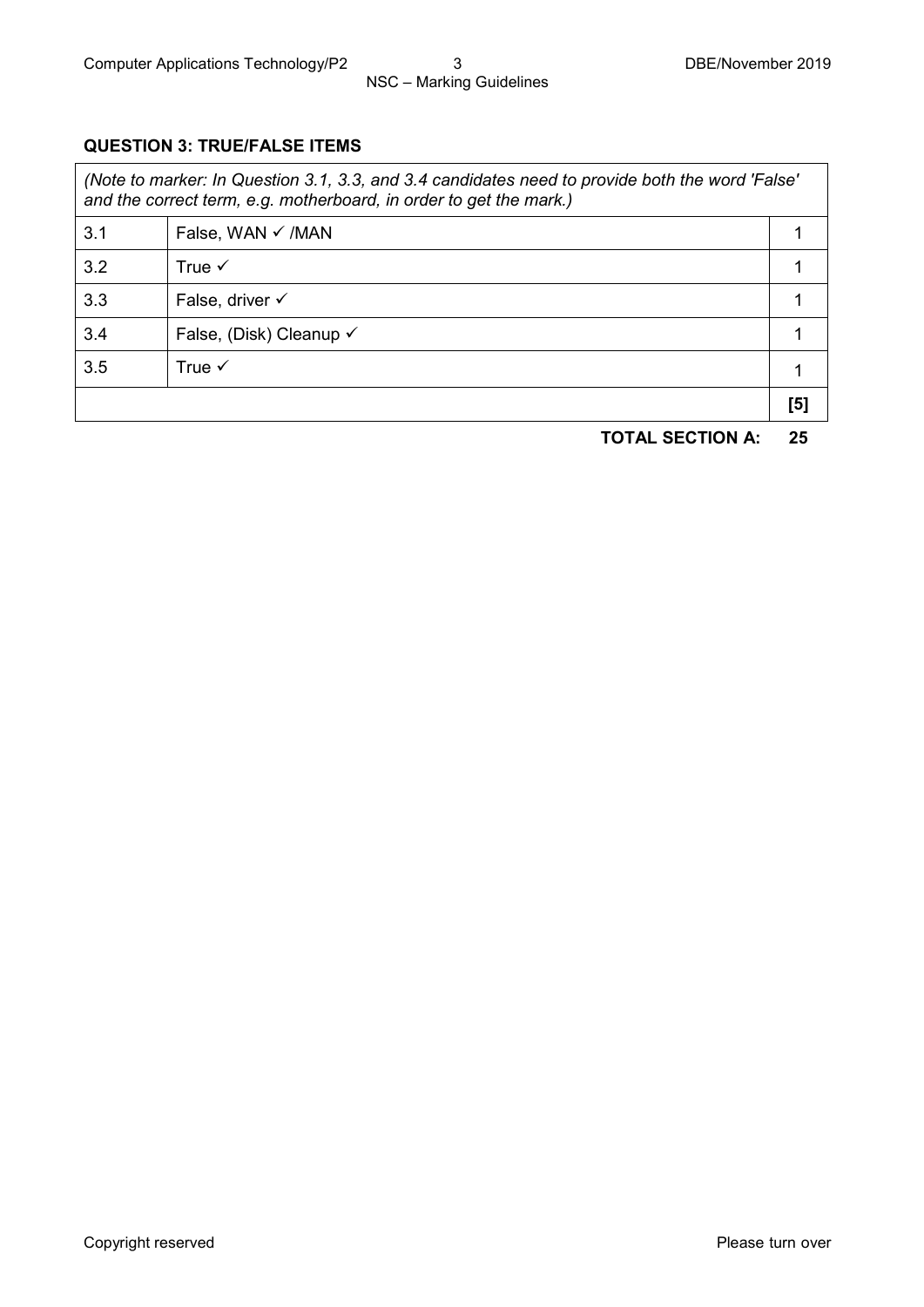### **QUESTION 3: TRUE/FALSE ITEMS**

| (Note to marker: In Question 3.1, 3.3, and 3.4 candidates need to provide both the word 'False'<br>and the correct term, e.g. motherboard, in order to get the mark.) |                              |  |  |  |  |
|-----------------------------------------------------------------------------------------------------------------------------------------------------------------------|------------------------------|--|--|--|--|
| 3.1                                                                                                                                                                   | False, WAN $\checkmark$ /MAN |  |  |  |  |
| 3.2                                                                                                                                                                   | True $\checkmark$            |  |  |  |  |
| ററ                                                                                                                                                                    | Table 4                      |  |  |  |  |

|     |                         | [5] |
|-----|-------------------------|-----|
| 3.5 | True $\checkmark$       |     |
| 3.4 | False, (Disk) Cleanup √ |     |
| 3.3 | False, driver √         |     |

**TOTAL SECTION A: 25**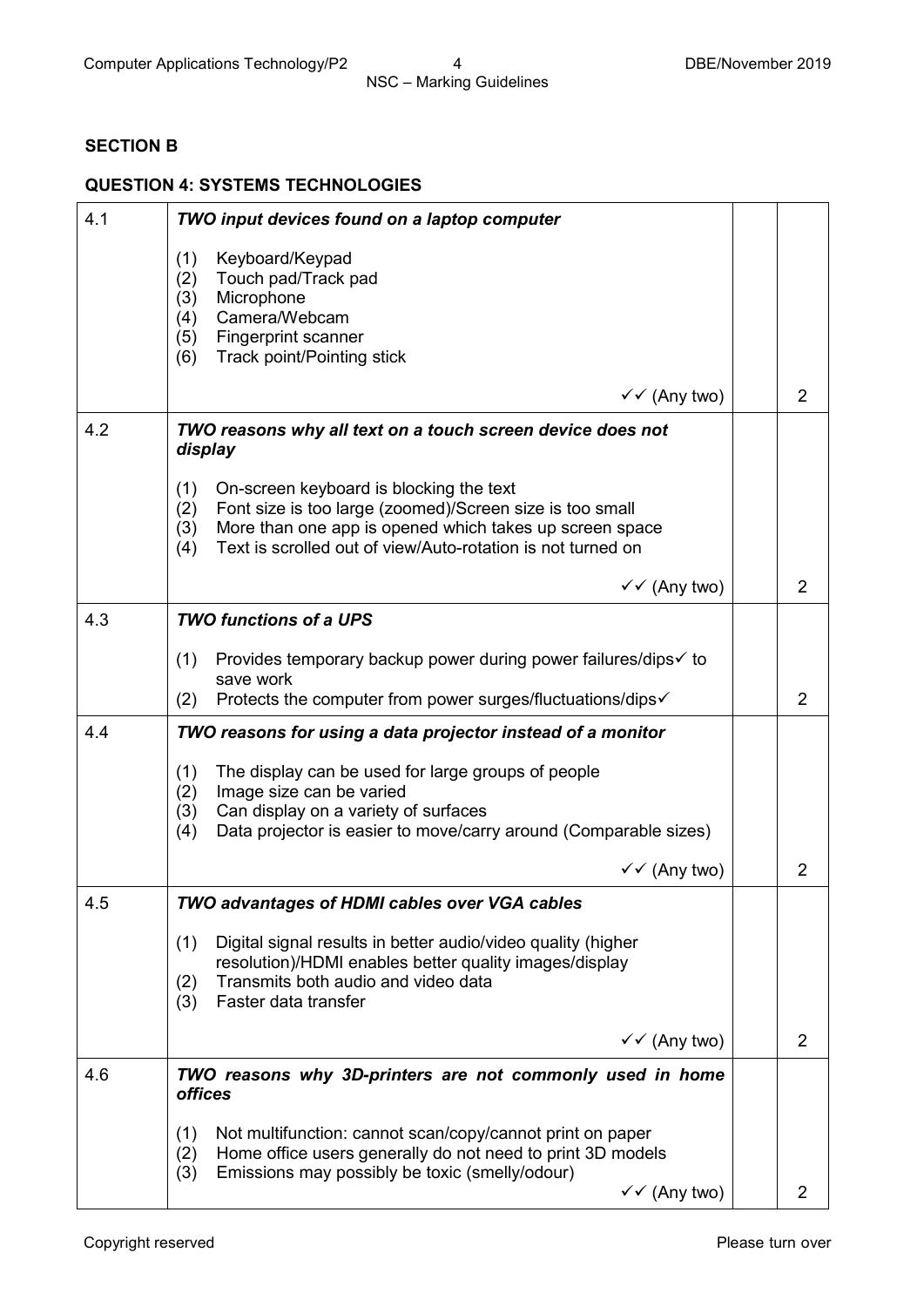### **SECTION B**

#### **QUESTION 4: SYSTEMS TECHNOLOGIES**

| 4.1 | TWO input devices found on a laptop computer                                                                                                                                                                                                              |                |
|-----|-----------------------------------------------------------------------------------------------------------------------------------------------------------------------------------------------------------------------------------------------------------|----------------|
|     | (1)<br>Keyboard/Keypad<br>Touch pad/Track pad<br>(2)<br>Microphone<br>(3)<br>Camera/Webcam<br>(4)<br>(5)<br>Fingerprint scanner<br>Track point/Pointing stick<br>(6)                                                                                      |                |
|     | $\checkmark$ (Any two)                                                                                                                                                                                                                                    | $\overline{2}$ |
| 4.2 | TWO reasons why all text on a touch screen device does not<br>display                                                                                                                                                                                     |                |
|     | (1)<br>On-screen keyboard is blocking the text<br>Font size is too large (zoomed)/Screen size is too small<br>(2)<br>More than one app is opened which takes up screen space<br>(3)<br>Text is scrolled out of view/Auto-rotation is not turned on<br>(4) |                |
|     | $\checkmark$ (Any two)                                                                                                                                                                                                                                    | $\overline{2}$ |
| 4.3 | <b>TWO functions of a UPS</b>                                                                                                                                                                                                                             |                |
|     | Provides temporary backup power during power failures/dips√ to<br>(1)<br>save work                                                                                                                                                                        |                |
|     | Protects the computer from power surges/fluctuations/dips√<br>(2)                                                                                                                                                                                         | $\overline{2}$ |
| 4.4 | TWO reasons for using a data projector instead of a monitor                                                                                                                                                                                               |                |
|     | The display can be used for large groups of people<br>(1)<br>Image size can be varied<br>(2)<br>(3)<br>Can display on a variety of surfaces<br>Data projector is easier to move/carry around (Comparable sizes)<br>(4)                                    |                |
|     | $\checkmark$ (Any two)                                                                                                                                                                                                                                    | $\overline{2}$ |
| 4.5 | <b>TWO advantages of HDMI cables over VGA cables</b>                                                                                                                                                                                                      |                |
|     | Digital signal results in better audio/video quality (higher<br>(1)<br>resolution)/HDMI enables better quality images/display<br>Transmits both audio and video data<br>(2)<br>Faster data transfer<br>(3)                                                |                |
|     | $\checkmark$ (Any two)                                                                                                                                                                                                                                    | 2              |
| 4.6 | TWO reasons why 3D-printers are not commonly used in home<br><b>offices</b>                                                                                                                                                                               |                |
|     | Not multifunction: cannot scan/copy/cannot print on paper<br>(1)<br>Home office users generally do not need to print 3D models<br>(2)<br>Emissions may possibly be toxic (smelly/odour)<br>(3)<br>$\checkmark$ (Any two)                                  | 2              |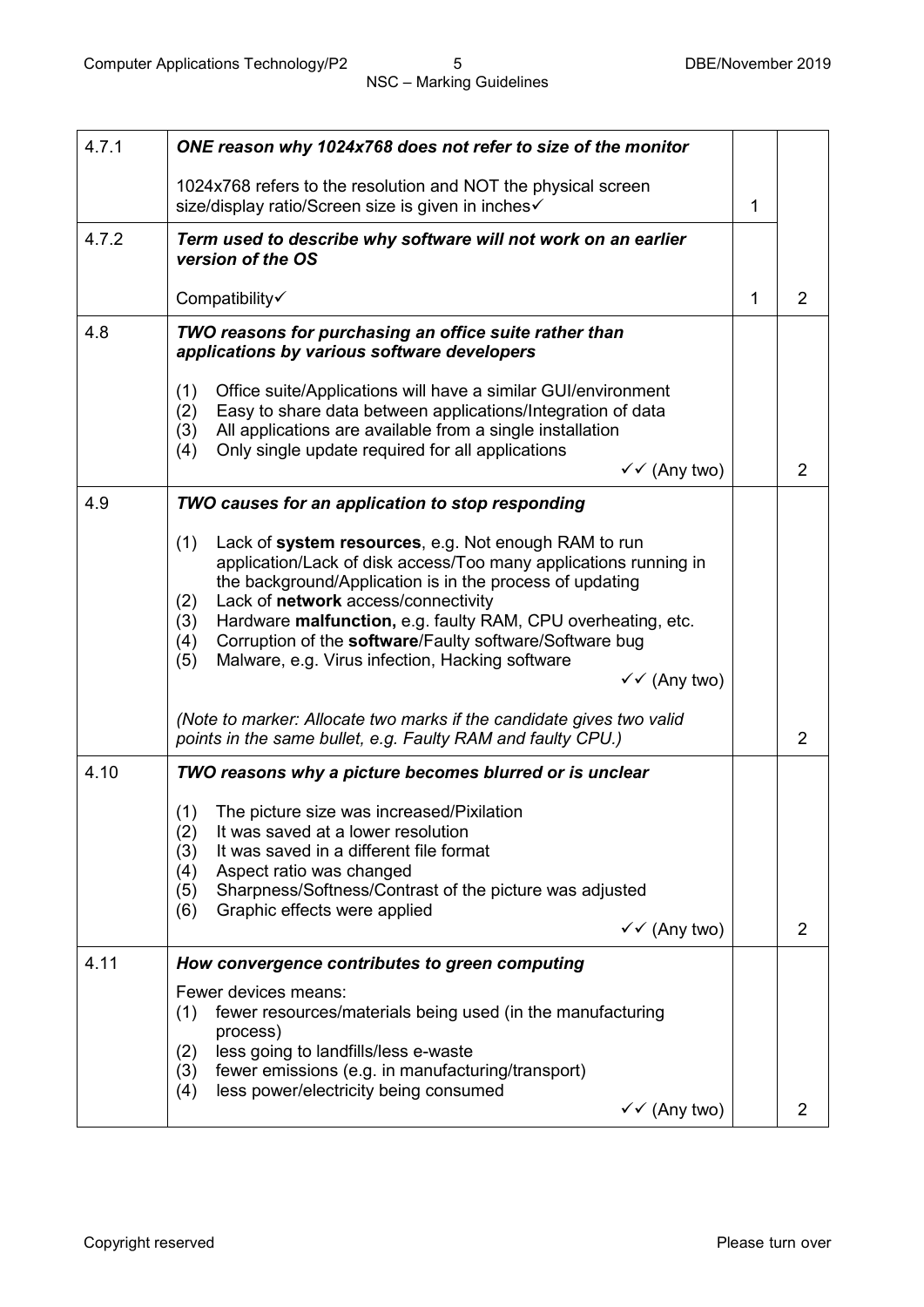| 4.7.1 | ONE reason why 1024x768 does not refer to size of the monitor                                                                                                                                                                                                                                                                                                                                                                                                          |              |                |
|-------|------------------------------------------------------------------------------------------------------------------------------------------------------------------------------------------------------------------------------------------------------------------------------------------------------------------------------------------------------------------------------------------------------------------------------------------------------------------------|--------------|----------------|
|       | 1024x768 refers to the resolution and NOT the physical screen<br>size/display ratio/Screen size is given in inches√                                                                                                                                                                                                                                                                                                                                                    | $\mathbf{1}$ |                |
| 4.7.2 | Term used to describe why software will not work on an earlier<br>version of the OS                                                                                                                                                                                                                                                                                                                                                                                    |              |                |
|       | Compatibility√                                                                                                                                                                                                                                                                                                                                                                                                                                                         | 1            | $\overline{2}$ |
| 4.8   | TWO reasons for purchasing an office suite rather than<br>applications by various software developers                                                                                                                                                                                                                                                                                                                                                                  |              |                |
|       | Office suite/Applications will have a similar GUI/environment<br>(1)<br>Easy to share data between applications/Integration of data<br>(2)<br>All applications are available from a single installation<br>(3)<br>Only single update required for all applications<br>(4)<br>$\checkmark$ (Any two)                                                                                                                                                                    |              | $\overline{2}$ |
| 4.9   | TWO causes for an application to stop responding                                                                                                                                                                                                                                                                                                                                                                                                                       |              |                |
|       | Lack of system resources, e.g. Not enough RAM to run<br>(1)<br>application/Lack of disk access/Too many applications running in<br>the background/Application is in the process of updating<br>Lack of network access/connectivity<br>(2)<br>Hardware malfunction, e.g. faulty RAM, CPU overheating, etc.<br>(3)<br>Corruption of the software/Faulty software/Software bug<br>(4)<br>Malware, e.g. Virus infection, Hacking software<br>(5)<br>$\checkmark$ (Any two) |              |                |
|       | (Note to marker: Allocate two marks if the candidate gives two valid<br>points in the same bullet, e.g. Faulty RAM and faulty CPU.)                                                                                                                                                                                                                                                                                                                                    |              | $\overline{2}$ |
| 4.10  | TWO reasons why a picture becomes blurred or is unclear                                                                                                                                                                                                                                                                                                                                                                                                                |              |                |
|       | The picture size was increased/Pixilation<br>(1)<br>(2)<br>It was saved at a lower resolution<br>It was saved in a different file format<br>(3)<br>Aspect ratio was changed<br>(4)<br>Sharpness/Softness/Contrast of the picture was adjusted<br>(5)<br>Graphic effects were applied<br>(6)<br>$\checkmark$ (Any two)                                                                                                                                                  |              | 2              |
| 4.11  | How convergence contributes to green computing                                                                                                                                                                                                                                                                                                                                                                                                                         |              |                |
|       | Fewer devices means:<br>fewer resources/materials being used (in the manufacturing<br>(1)<br>process)<br>less going to landfills/less e-waste<br>(2)<br>fewer emissions (e.g. in manufacturing/transport)<br>(3)<br>less power/electricity being consumed<br>(4)<br>$\checkmark$ (Any two)                                                                                                                                                                             |              | $\overline{2}$ |
|       |                                                                                                                                                                                                                                                                                                                                                                                                                                                                        |              |                |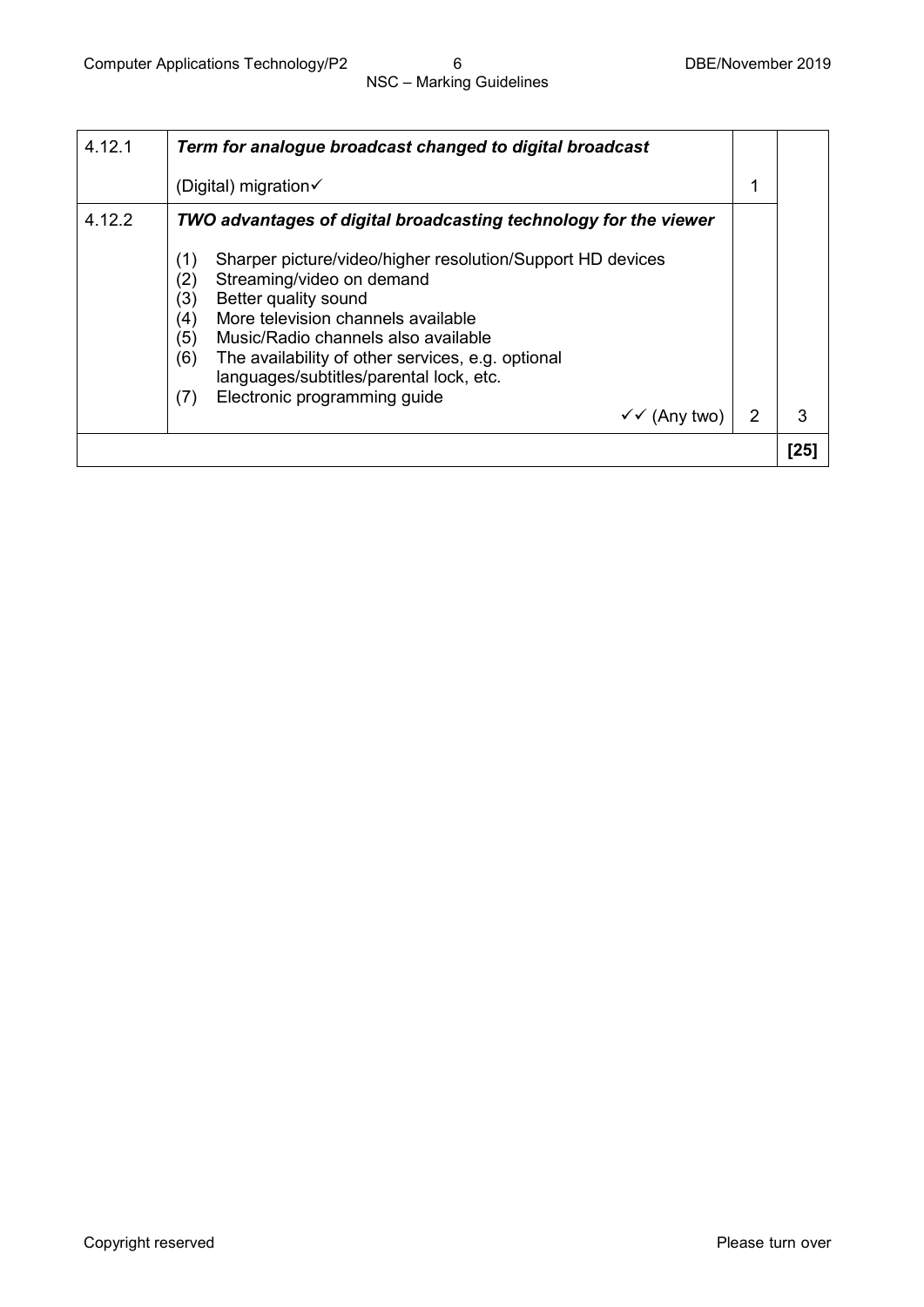| 4.12.1 | Term for analogue broadcast changed to digital broadcast                                                                                                                                                                                                                                                                                                                                                |   |      |
|--------|---------------------------------------------------------------------------------------------------------------------------------------------------------------------------------------------------------------------------------------------------------------------------------------------------------------------------------------------------------------------------------------------------------|---|------|
|        | (Digital) migration $\checkmark$                                                                                                                                                                                                                                                                                                                                                                        |   |      |
| 4.12.2 | TWO advantages of digital broadcasting technology for the viewer                                                                                                                                                                                                                                                                                                                                        |   |      |
|        | Sharper picture/video/higher resolution/Support HD devices<br>(1)<br>Streaming/video on demand<br>(2)<br>Better quality sound<br>(3)<br>More television channels available<br>(4)<br>(5)<br>Music/Radio channels also available<br>(6)<br>The availability of other services, e.g. optional<br>languages/subtitles/parental lock, etc.<br>Electronic programming guide<br>(7)<br>$\checkmark$ (Any two) | 2 | 3    |
|        |                                                                                                                                                                                                                                                                                                                                                                                                         |   | [25] |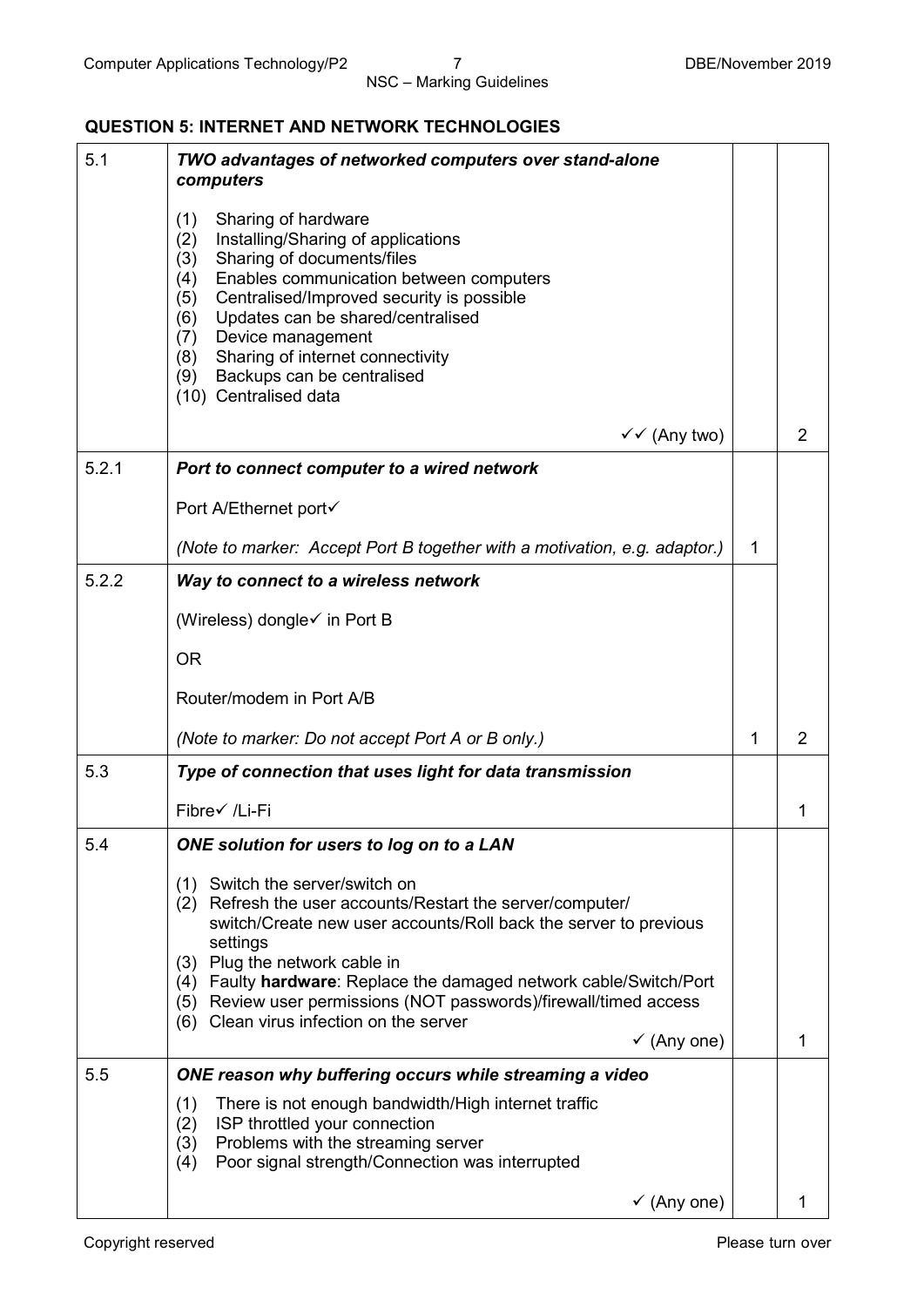## **QUESTION 5: INTERNET AND NETWORK TECHNOLOGIES**

| 5.1   | TWO advantages of networked computers over stand-alone<br>computers                                                                                                                                                                                                                                                                                                                                                            |   |                |
|-------|--------------------------------------------------------------------------------------------------------------------------------------------------------------------------------------------------------------------------------------------------------------------------------------------------------------------------------------------------------------------------------------------------------------------------------|---|----------------|
|       | (1)<br>Sharing of hardware<br>Installing/Sharing of applications<br>(2)<br>Sharing of documents/files<br>(3)<br>Enables communication between computers<br>(4)<br>Centralised/Improved security is possible<br>(5)<br>Updates can be shared/centralised<br>(6)<br>Device management<br>(7)<br>Sharing of internet connectivity<br>(8)<br>Backups can be centralised<br>(9)<br>(10) Centralised data                            |   |                |
|       | $\checkmark$ (Any two)                                                                                                                                                                                                                                                                                                                                                                                                         |   | $\overline{2}$ |
| 5.2.1 | Port to connect computer to a wired network                                                                                                                                                                                                                                                                                                                                                                                    |   |                |
|       | Port A/Ethernet port√                                                                                                                                                                                                                                                                                                                                                                                                          |   |                |
|       | (Note to marker: Accept Port B together with a motivation, e.g. adaptor.)                                                                                                                                                                                                                                                                                                                                                      | 1 |                |
| 5.2.2 | Way to connect to a wireless network                                                                                                                                                                                                                                                                                                                                                                                           |   |                |
|       | (Wireless) dongle√ in Port B                                                                                                                                                                                                                                                                                                                                                                                                   |   |                |
|       | <b>OR</b>                                                                                                                                                                                                                                                                                                                                                                                                                      |   |                |
|       | Router/modem in Port A/B                                                                                                                                                                                                                                                                                                                                                                                                       |   |                |
|       | (Note to marker: Do not accept Port A or B only.)                                                                                                                                                                                                                                                                                                                                                                              | 1 | $\overline{2}$ |
| 5.3   | Type of connection that uses light for data transmission                                                                                                                                                                                                                                                                                                                                                                       |   |                |
|       | Fibre√ /Li-Fi                                                                                                                                                                                                                                                                                                                                                                                                                  |   | 1              |
| 5.4   | ONE solution for users to log on to a LAN                                                                                                                                                                                                                                                                                                                                                                                      |   |                |
|       | (1) Switch the server/switch on<br>(2) Refresh the user accounts/Restart the server/computer/<br>switch/Create new user accounts/Roll back the server to previous<br>settings<br>(3) Plug the network cable in<br>(4) Faulty hardware: Replace the damaged network cable/Switch/Port<br>(5) Review user permissions (NOT passwords)/firewall/timed access<br>(6) Clean virus infection on the server<br>$\checkmark$ (Any one) |   | 1              |
| 5.5   | ONE reason why buffering occurs while streaming a video                                                                                                                                                                                                                                                                                                                                                                        |   |                |
|       | There is not enough bandwidth/High internet traffic<br>(1)<br>ISP throttled your connection<br>(2)<br>Problems with the streaming server<br>(3)<br>Poor signal strength/Connection was interrupted<br>(4)                                                                                                                                                                                                                      |   |                |
|       | $\checkmark$ (Any one)                                                                                                                                                                                                                                                                                                                                                                                                         |   | 1              |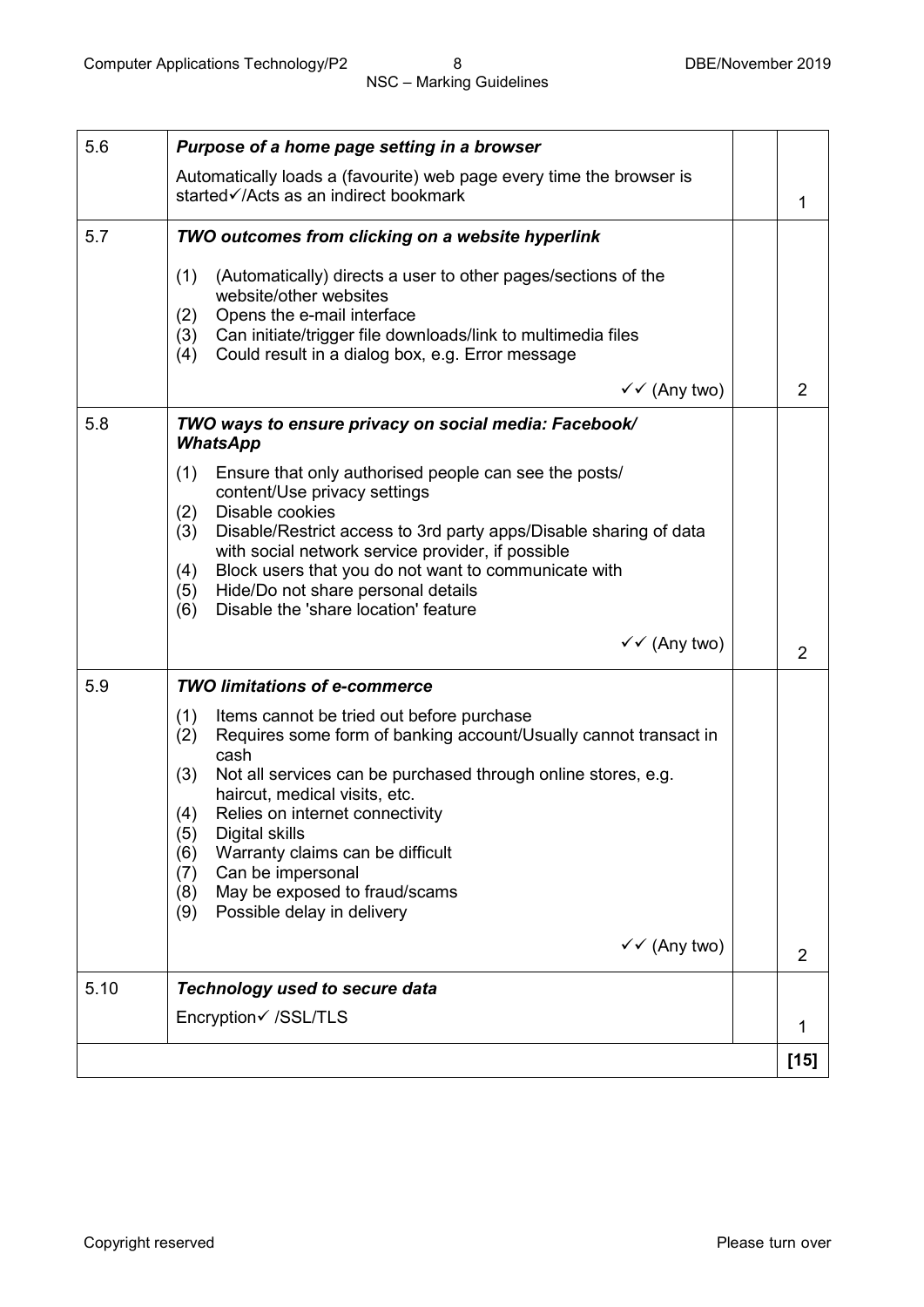| 5.6  | Purpose of a home page setting in a browser                                                                                                                                                                                                                                                                                                                                                                                                                                                    |                |
|------|------------------------------------------------------------------------------------------------------------------------------------------------------------------------------------------------------------------------------------------------------------------------------------------------------------------------------------------------------------------------------------------------------------------------------------------------------------------------------------------------|----------------|
|      | Automatically loads a (favourite) web page every time the browser is<br>started√/Acts as an indirect bookmark                                                                                                                                                                                                                                                                                                                                                                                  | 1              |
| 5.7  | TWO outcomes from clicking on a website hyperlink                                                                                                                                                                                                                                                                                                                                                                                                                                              |                |
|      | (1)<br>(Automatically) directs a user to other pages/sections of the<br>website/other websites<br>Opens the e-mail interface<br>(2)<br>Can initiate/trigger file downloads/link to multimedia files<br>(3)<br>Could result in a dialog box, e.g. Error message<br>(4)                                                                                                                                                                                                                          |                |
|      | $\checkmark$ (Any two)                                                                                                                                                                                                                                                                                                                                                                                                                                                                         | $\overline{2}$ |
| 5.8  | TWO ways to ensure privacy on social media: Facebook/<br><b>WhatsApp</b><br>(1)<br>Ensure that only authorised people can see the posts/<br>content/Use privacy settings<br>Disable cookies<br>(2)<br>Disable/Restrict access to 3rd party apps/Disable sharing of data<br>(3)<br>with social network service provider, if possible<br>Block users that you do not want to communicate with<br>(4)<br>Hide/Do not share personal details<br>(5)<br>Disable the 'share location' feature<br>(6) |                |
|      | $\checkmark$ (Any two)                                                                                                                                                                                                                                                                                                                                                                                                                                                                         | $\overline{2}$ |
| 5.9  | <b>TWO limitations of e-commerce</b>                                                                                                                                                                                                                                                                                                                                                                                                                                                           |                |
|      | (1)<br>Items cannot be tried out before purchase<br>Requires some form of banking account/Usually cannot transact in<br>(2)<br>cash<br>Not all services can be purchased through online stores, e.g.<br>(3)<br>haircut, medical visits, etc.<br>Relies on internet connectivity<br>(4)<br>Digital skills<br>(5)<br>Warranty claims can be difficult<br>(6)<br>Can be impersonal<br>(7)<br>May be exposed to fraud/scams<br>(8)<br>Possible delay in delivery<br>(9)                            |                |
|      | $\checkmark$ (Any two)                                                                                                                                                                                                                                                                                                                                                                                                                                                                         | $\overline{2}$ |
| 5.10 | Technology used to secure data                                                                                                                                                                                                                                                                                                                                                                                                                                                                 |                |
|      | Encryption√ /SSL/TLS                                                                                                                                                                                                                                                                                                                                                                                                                                                                           | 1              |
|      |                                                                                                                                                                                                                                                                                                                                                                                                                                                                                                | $[15]$         |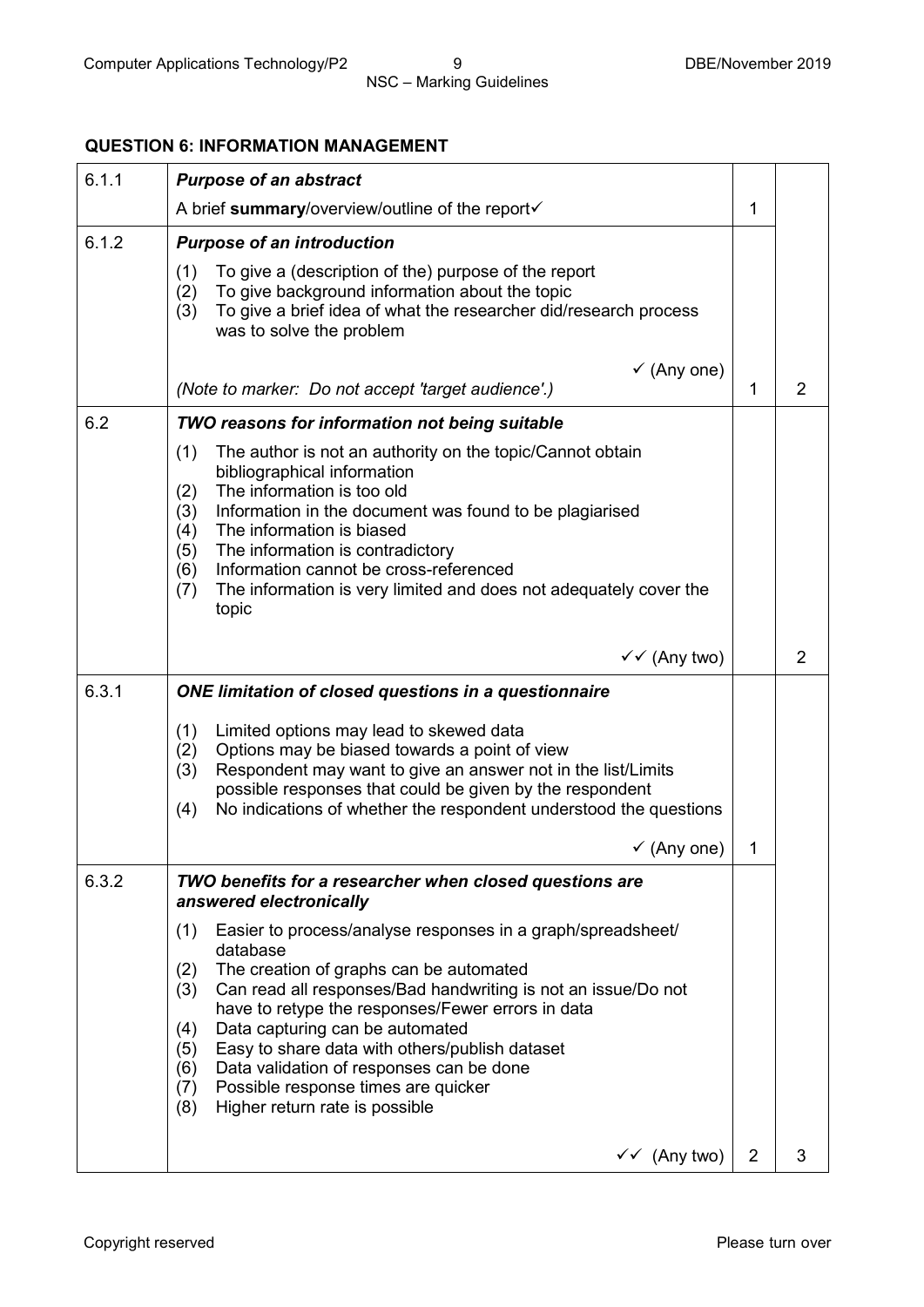## **QUESTION 6: INFORMATION MANAGEMENT**

| 6.1.1 | <b>Purpose of an abstract</b>                                                                                                                                                                                                                                                                                                                                                                                                                                                                              |   |                |
|-------|------------------------------------------------------------------------------------------------------------------------------------------------------------------------------------------------------------------------------------------------------------------------------------------------------------------------------------------------------------------------------------------------------------------------------------------------------------------------------------------------------------|---|----------------|
|       | A brief summary/overview/outline of the report                                                                                                                                                                                                                                                                                                                                                                                                                                                             | 1 |                |
| 6.1.2 | <b>Purpose of an introduction</b>                                                                                                                                                                                                                                                                                                                                                                                                                                                                          |   |                |
|       | To give a (description of the) purpose of the report<br>(1)<br>To give background information about the topic<br>(2)<br>To give a brief idea of what the researcher did/research process<br>(3)<br>was to solve the problem                                                                                                                                                                                                                                                                                |   |                |
|       | $\checkmark$ (Any one)                                                                                                                                                                                                                                                                                                                                                                                                                                                                                     |   |                |
|       | (Note to marker: Do not accept 'target audience'.)                                                                                                                                                                                                                                                                                                                                                                                                                                                         | 1 | 2              |
| 6.2   | TWO reasons for information not being suitable                                                                                                                                                                                                                                                                                                                                                                                                                                                             |   |                |
|       | (1)<br>The author is not an authority on the topic/Cannot obtain<br>bibliographical information<br>The information is too old<br>(2)<br>Information in the document was found to be plagiarised<br>(3)<br>(4)<br>The information is biased<br>(5)<br>The information is contradictory<br>Information cannot be cross-referenced<br>(6)<br>The information is very limited and does not adequately cover the<br>(7)<br>topic                                                                                |   |                |
|       | $\checkmark$ (Any two)                                                                                                                                                                                                                                                                                                                                                                                                                                                                                     |   | $\overline{2}$ |
| 6.3.1 | ONE limitation of closed questions in a questionnaire                                                                                                                                                                                                                                                                                                                                                                                                                                                      |   |                |
|       | (1)<br>Limited options may lead to skewed data<br>Options may be biased towards a point of view<br>(2)<br>Respondent may want to give an answer not in the list/Limits<br>(3)<br>possible responses that could be given by the respondent<br>No indications of whether the respondent understood the questions<br>(4)                                                                                                                                                                                      |   |                |
|       | $\checkmark$ (Any one)                                                                                                                                                                                                                                                                                                                                                                                                                                                                                     | 1 |                |
| 6.3.2 | TWO benefits for a researcher when closed questions are<br>answered electronically                                                                                                                                                                                                                                                                                                                                                                                                                         |   |                |
|       | Easier to process/analyse responses in a graph/spreadsheet/<br>(1)<br>database<br>The creation of graphs can be automated<br>(2)<br>Can read all responses/Bad handwriting is not an issue/Do not<br>(3)<br>have to retype the responses/Fewer errors in data<br>Data capturing can be automated<br>(4)<br>Easy to share data with others/publish dataset<br>(5)<br>Data validation of responses can be done<br>(6)<br>Possible response times are quicker<br>(7)<br>Higher return rate is possible<br>(8) |   |                |
|       | $\checkmark$ (Any two)                                                                                                                                                                                                                                                                                                                                                                                                                                                                                     | 2 | 3              |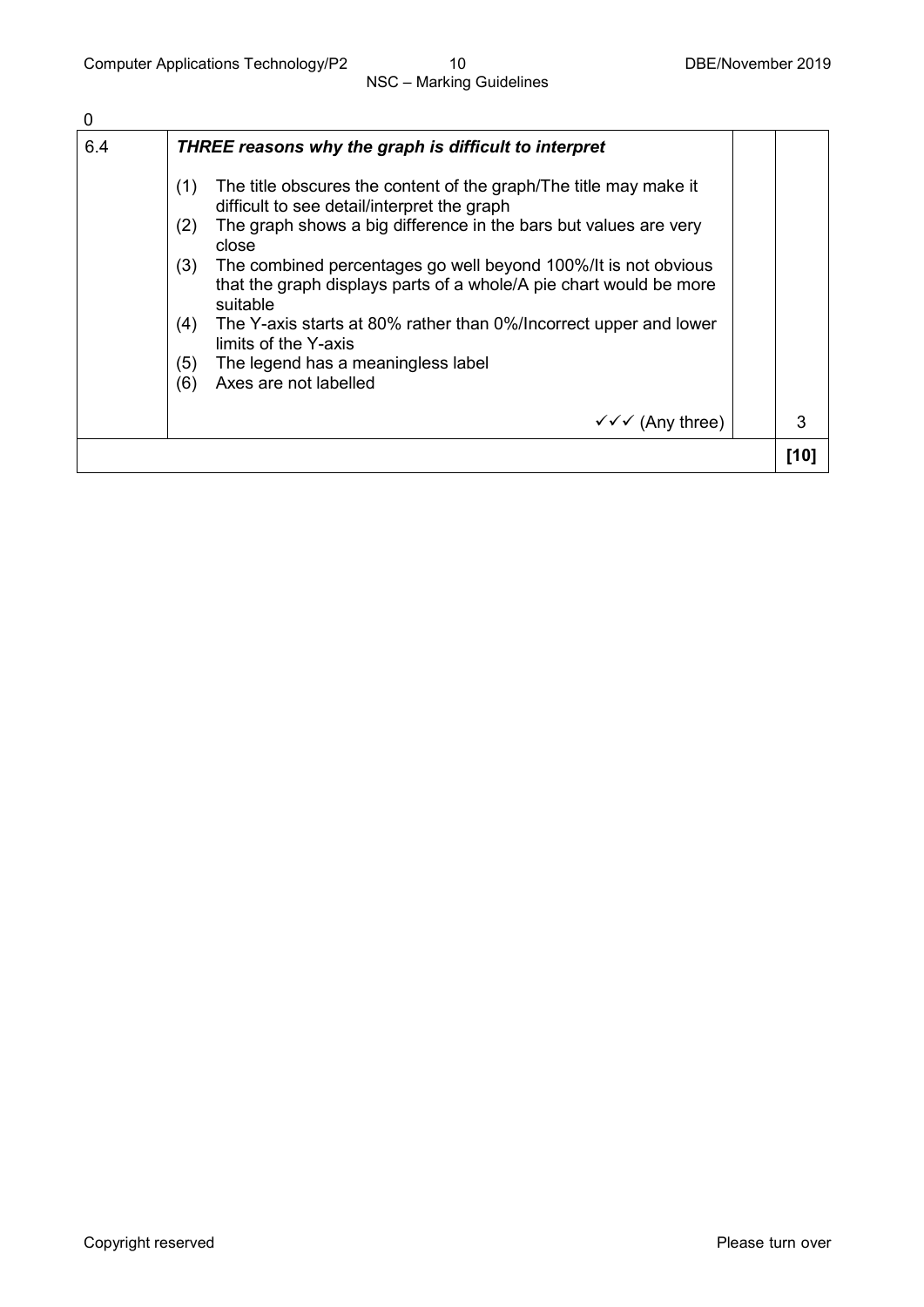| 0   |                                                                                                                                                                                                                                                                                                                                                                                                                                                                                                                                                         |      |
|-----|---------------------------------------------------------------------------------------------------------------------------------------------------------------------------------------------------------------------------------------------------------------------------------------------------------------------------------------------------------------------------------------------------------------------------------------------------------------------------------------------------------------------------------------------------------|------|
| 6.4 | THREE reasons why the graph is difficult to interpret                                                                                                                                                                                                                                                                                                                                                                                                                                                                                                   |      |
|     | The title obscures the content of the graph/The title may make it<br>(1)<br>difficult to see detail/interpret the graph<br>The graph shows a big difference in the bars but values are very<br>(2)<br>close<br>(3)<br>The combined percentages go well beyond 100%/It is not obvious<br>that the graph displays parts of a whole/A pie chart would be more<br>suitable<br>The Y-axis starts at 80% rather than 0%/Incorrect upper and lower<br>(4)<br>limits of the Y-axis<br>The legend has a meaningless label<br>(5)<br>Axes are not labelled<br>(6) |      |
|     | $\sqrt{\sqrt{}}$ (Any three)                                                                                                                                                                                                                                                                                                                                                                                                                                                                                                                            | 3    |
|     |                                                                                                                                                                                                                                                                                                                                                                                                                                                                                                                                                         | [10] |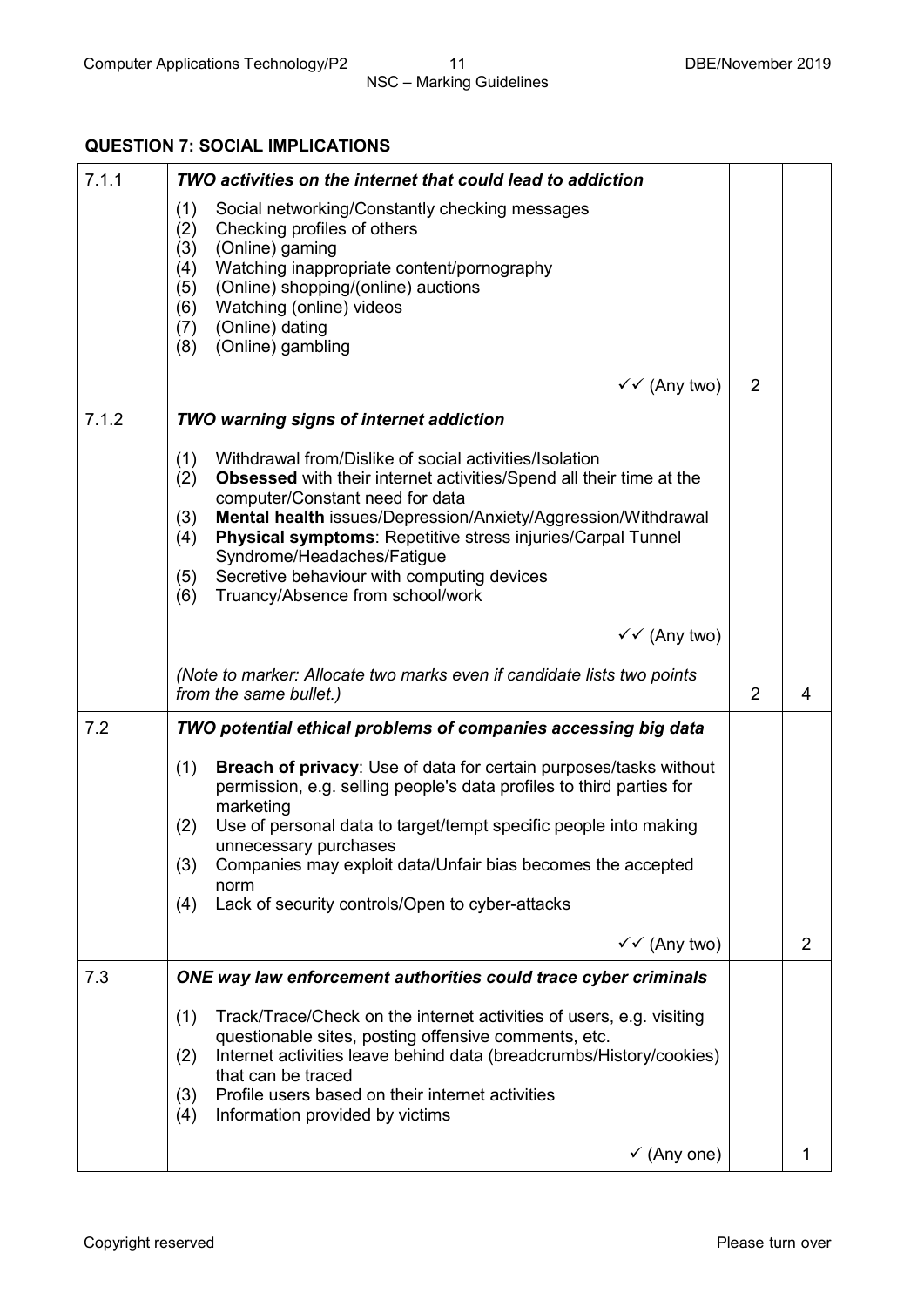## **QUESTION 7: SOCIAL IMPLICATIONS**

| 7.1.1 | TWO activities on the internet that could lead to addiction                                                                                                                                                                                                                                                                                                                                                                                                       |                |                |
|-------|-------------------------------------------------------------------------------------------------------------------------------------------------------------------------------------------------------------------------------------------------------------------------------------------------------------------------------------------------------------------------------------------------------------------------------------------------------------------|----------------|----------------|
|       | (1)<br>Social networking/Constantly checking messages<br>Checking profiles of others<br>(2)<br>(3)<br>(Online) gaming<br>Watching inappropriate content/pornography<br>(4)<br>(Online) shopping/(online) auctions<br>(5)<br>Watching (online) videos<br>(6)<br>(Online) dating<br>(7)<br>(Online) gambling<br>(8)                                                                                                                                                 |                |                |
|       | $\checkmark$ (Any two)                                                                                                                                                                                                                                                                                                                                                                                                                                            | 2              |                |
| 7.1.2 | <b>TWO warning signs of internet addiction</b>                                                                                                                                                                                                                                                                                                                                                                                                                    |                |                |
|       | Withdrawal from/Dislike of social activities/Isolation<br>(1)<br><b>Obsessed</b> with their internet activities/Spend all their time at the<br>(2)<br>computer/Constant need for data<br>Mental health issues/Depression/Anxiety/Aggression/Withdrawal<br>(3)<br>Physical symptoms: Repetitive stress injuries/Carpal Tunnel<br>(4)<br>Syndrome/Headaches/Fatigue<br>Secretive behaviour with computing devices<br>(5)<br>Truancy/Absence from school/work<br>(6) |                |                |
|       | $\checkmark$ (Any two)                                                                                                                                                                                                                                                                                                                                                                                                                                            |                |                |
|       | (Note to marker: Allocate two marks even if candidate lists two points<br>from the same bullet.)                                                                                                                                                                                                                                                                                                                                                                  | $\overline{2}$ | 4              |
| 7.2   | TWO potential ethical problems of companies accessing big data                                                                                                                                                                                                                                                                                                                                                                                                    |                |                |
|       | Breach of privacy: Use of data for certain purposes/tasks without<br>(1)<br>permission, e.g. selling people's data profiles to third parties for<br>marketing<br>Use of personal data to target/tempt specific people into making<br>(2)<br>unnecessary purchases<br>(3)<br>Companies may exploit data/Unfair bias becomes the accepted<br>norm<br>Lack of security controls/Open to cyber-attacks<br>(4)                                                         |                |                |
|       | $\checkmark$ (Any two)                                                                                                                                                                                                                                                                                                                                                                                                                                            |                | $\overline{2}$ |
| 7.3   | ONE way law enforcement authorities could trace cyber criminals                                                                                                                                                                                                                                                                                                                                                                                                   |                |                |
|       | Track/Trace/Check on the internet activities of users, e.g. visiting<br>(1)<br>questionable sites, posting offensive comments, etc.<br>Internet activities leave behind data (breadcrumbs/History/cookies)<br>(2)<br>that can be traced<br>Profile users based on their internet activities<br>(3)<br>Information provided by victims<br>(4)                                                                                                                      |                |                |
|       | $\checkmark$ (Any one)                                                                                                                                                                                                                                                                                                                                                                                                                                            |                |                |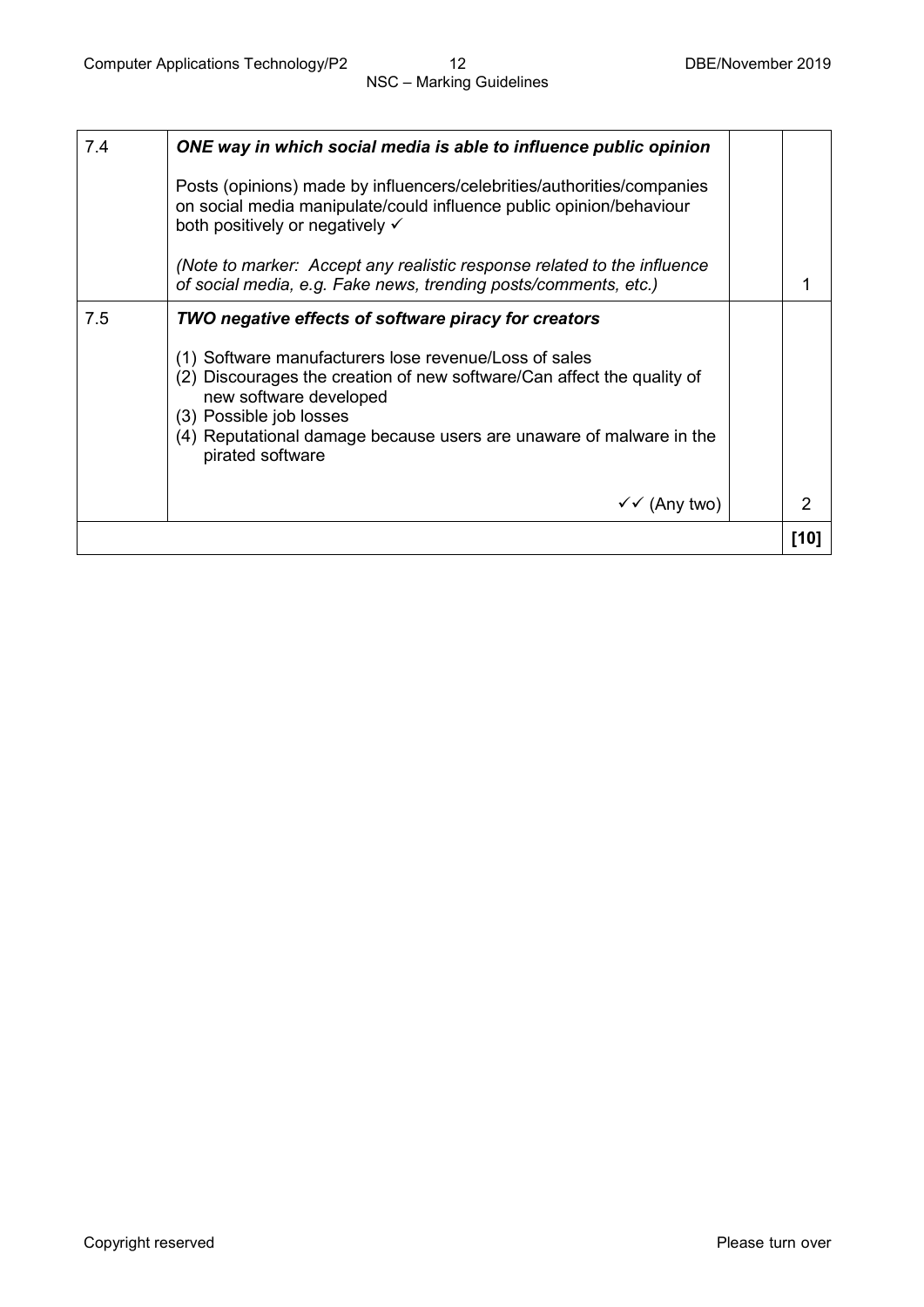| 7.4 | ONE way in which social media is able to influence public opinion                                                                                                                                                                                                                                                                       |      |
|-----|-----------------------------------------------------------------------------------------------------------------------------------------------------------------------------------------------------------------------------------------------------------------------------------------------------------------------------------------|------|
|     | Posts (opinions) made by influencers/celebrities/authorities/companies<br>on social media manipulate/could influence public opinion/behaviour<br>both positively or negatively ✓                                                                                                                                                        |      |
|     | (Note to marker: Accept any realistic response related to the influence<br>of social media, e.g. Fake news, trending posts/comments, etc.)                                                                                                                                                                                              |      |
| 7.5 | TWO negative effects of software piracy for creators<br>(1) Software manufacturers lose revenue/Loss of sales<br>(2) Discourages the creation of new software/Can affect the quality of<br>new software developed<br>(3) Possible job losses<br>(4) Reputational damage because users are unaware of malware in the<br>pirated software |      |
|     | $\checkmark$ (Any two)                                                                                                                                                                                                                                                                                                                  | 2    |
|     |                                                                                                                                                                                                                                                                                                                                         | [10] |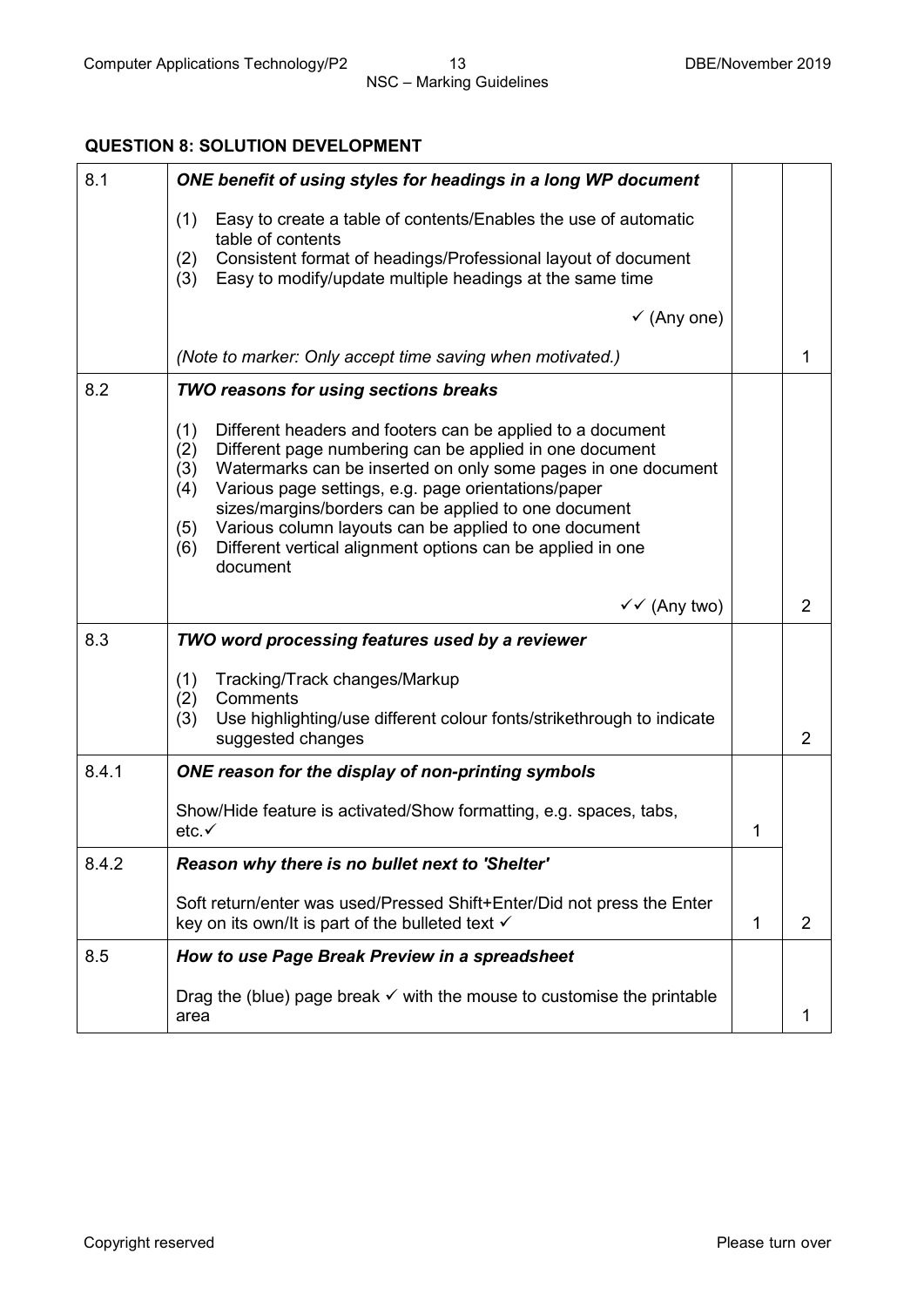## **QUESTION 8: SOLUTION DEVELOPMENT**

| 8.1   | ONE benefit of using styles for headings in a long WP document                                                                                                                                                                                                                                                                                                                                                                                                                     |              |                |
|-------|------------------------------------------------------------------------------------------------------------------------------------------------------------------------------------------------------------------------------------------------------------------------------------------------------------------------------------------------------------------------------------------------------------------------------------------------------------------------------------|--------------|----------------|
|       | Easy to create a table of contents/Enables the use of automatic<br>(1)<br>table of contents<br>Consistent format of headings/Professional layout of document<br>(2)<br>Easy to modify/update multiple headings at the same time<br>(3)                                                                                                                                                                                                                                             |              |                |
|       | $\checkmark$ (Any one)                                                                                                                                                                                                                                                                                                                                                                                                                                                             |              |                |
|       | (Note to marker: Only accept time saving when motivated.)                                                                                                                                                                                                                                                                                                                                                                                                                          |              | 1              |
| 8.2   | TWO reasons for using sections breaks                                                                                                                                                                                                                                                                                                                                                                                                                                              |              |                |
|       | (1)<br>Different headers and footers can be applied to a document<br>Different page numbering can be applied in one document<br>(2)<br>(3)<br>Watermarks can be inserted on only some pages in one document<br>Various page settings, e.g. page orientations/paper<br>(4)<br>sizes/margins/borders can be applied to one document<br>Various column layouts can be applied to one document<br>(5)<br>Different vertical alignment options can be applied in one<br>(6)<br>document |              |                |
|       | $\checkmark$ (Any two)                                                                                                                                                                                                                                                                                                                                                                                                                                                             |              | $\overline{2}$ |
| 8.3   | TWO word processing features used by a reviewer                                                                                                                                                                                                                                                                                                                                                                                                                                    |              |                |
|       | Tracking/Track changes/Markup<br>(1)<br>Comments<br>(2)<br>Use highlighting/use different colour fonts/strikethrough to indicate<br>(3)<br>suggested changes                                                                                                                                                                                                                                                                                                                       |              | $\overline{2}$ |
| 8.4.1 | ONE reason for the display of non-printing symbols                                                                                                                                                                                                                                                                                                                                                                                                                                 |              |                |
|       | Show/Hide feature is activated/Show formatting, e.g. spaces, tabs,<br>etc.                                                                                                                                                                                                                                                                                                                                                                                                         | 1            |                |
| 8.4.2 | Reason why there is no bullet next to 'Shelter'                                                                                                                                                                                                                                                                                                                                                                                                                                    |              |                |
|       | Soft return/enter was used/Pressed Shift+Enter/Did not press the Enter<br>key on its own/It is part of the bulleted text $\checkmark$                                                                                                                                                                                                                                                                                                                                              | $\mathbf{1}$ | 2              |
| 8.5   | How to use Page Break Preview in a spreadsheet                                                                                                                                                                                                                                                                                                                                                                                                                                     |              |                |
|       | Drag the (blue) page break $\checkmark$ with the mouse to customise the printable<br>area                                                                                                                                                                                                                                                                                                                                                                                          |              | 1              |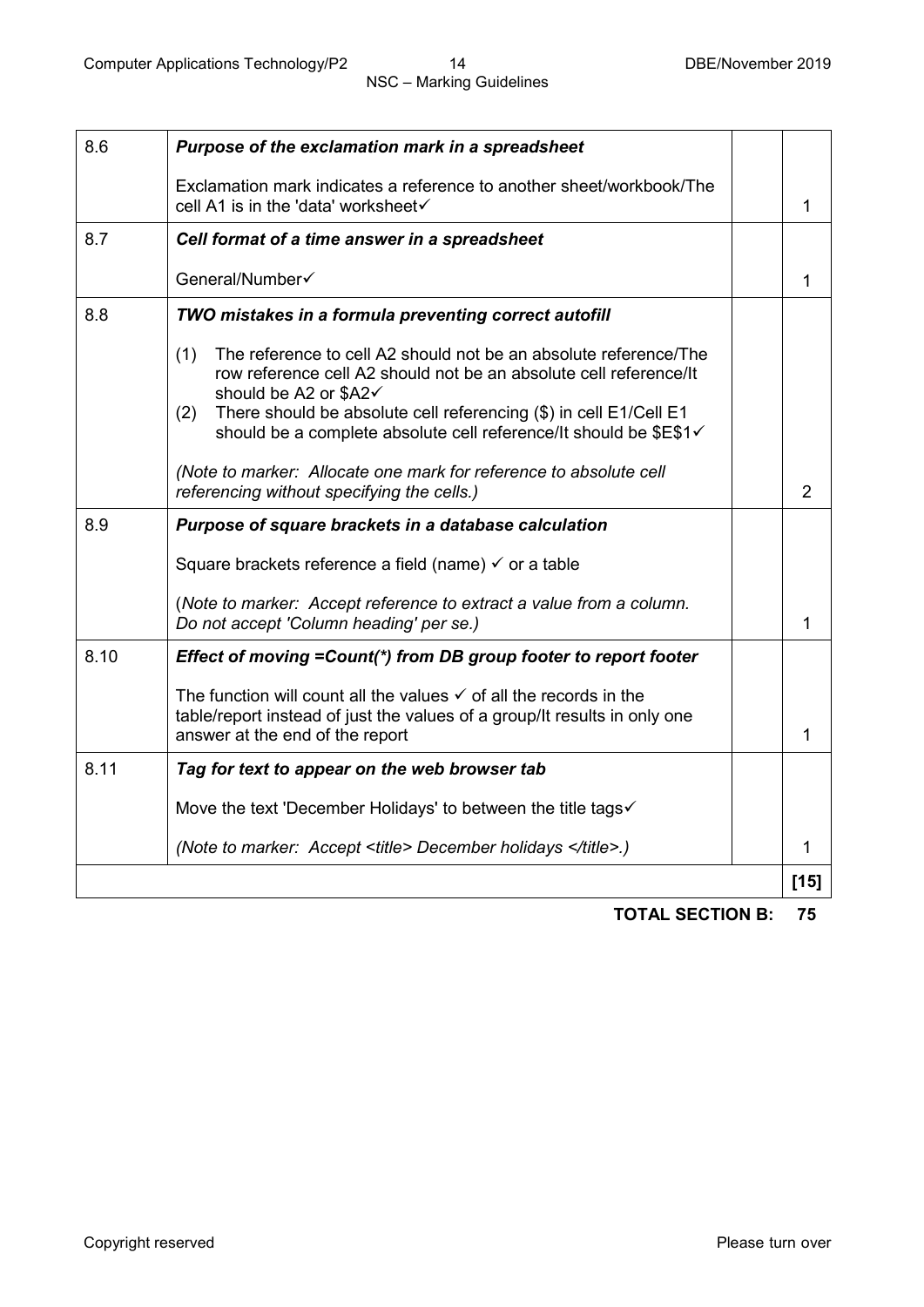| 8.6  | Purpose of the exclamation mark in a spreadsheet                                                                                                                                                                                                                                                                       |                |
|------|------------------------------------------------------------------------------------------------------------------------------------------------------------------------------------------------------------------------------------------------------------------------------------------------------------------------|----------------|
|      | Exclamation mark indicates a reference to another sheet/workbook/The<br>cell A1 is in the 'data' worksheet√                                                                                                                                                                                                            | $\mathbf{1}$   |
| 8.7  | Cell format of a time answer in a spreadsheet                                                                                                                                                                                                                                                                          |                |
|      | General/Number√                                                                                                                                                                                                                                                                                                        | 1              |
| 8.8  | TWO mistakes in a formula preventing correct autofill                                                                                                                                                                                                                                                                  |                |
|      | (1)<br>The reference to cell A2 should not be an absolute reference/The<br>row reference cell A2 should not be an absolute cell reference/It<br>should be A2 or \$A2√<br>There should be absolute cell referencing (\$) in cell E1/Cell E1<br>(2)<br>should be a complete absolute cell reference/It should be \$E\$1√ |                |
|      | (Note to marker: Allocate one mark for reference to absolute cell<br>referencing without specifying the cells.)                                                                                                                                                                                                        | $\overline{2}$ |
| 8.9  | Purpose of square brackets in a database calculation                                                                                                                                                                                                                                                                   |                |
|      | Square brackets reference a field (name) $\checkmark$ or a table                                                                                                                                                                                                                                                       |                |
|      | (Note to marker: Accept reference to extract a value from a column.<br>Do not accept 'Column heading' per se.)                                                                                                                                                                                                         | $\mathbf{1}$   |
| 8.10 | Effect of moving = Count(*) from DB group footer to report footer                                                                                                                                                                                                                                                      |                |
|      | The function will count all the values $\checkmark$ of all the records in the<br>table/report instead of just the values of a group/It results in only one<br>answer at the end of the report                                                                                                                          | 1              |
| 8.11 | Tag for text to appear on the web browser tab                                                                                                                                                                                                                                                                          |                |
|      | Move the text 'December Holidays' to between the title tags√                                                                                                                                                                                                                                                           |                |
|      | (Note to marker: Accept <title> December holidays </title> .)                                                                                                                                                                                                                                                          | 1              |
|      |                                                                                                                                                                                                                                                                                                                        | $[15]$         |
|      |                                                                                                                                                                                                                                                                                                                        |                |

**TOTAL SECTION B: 75**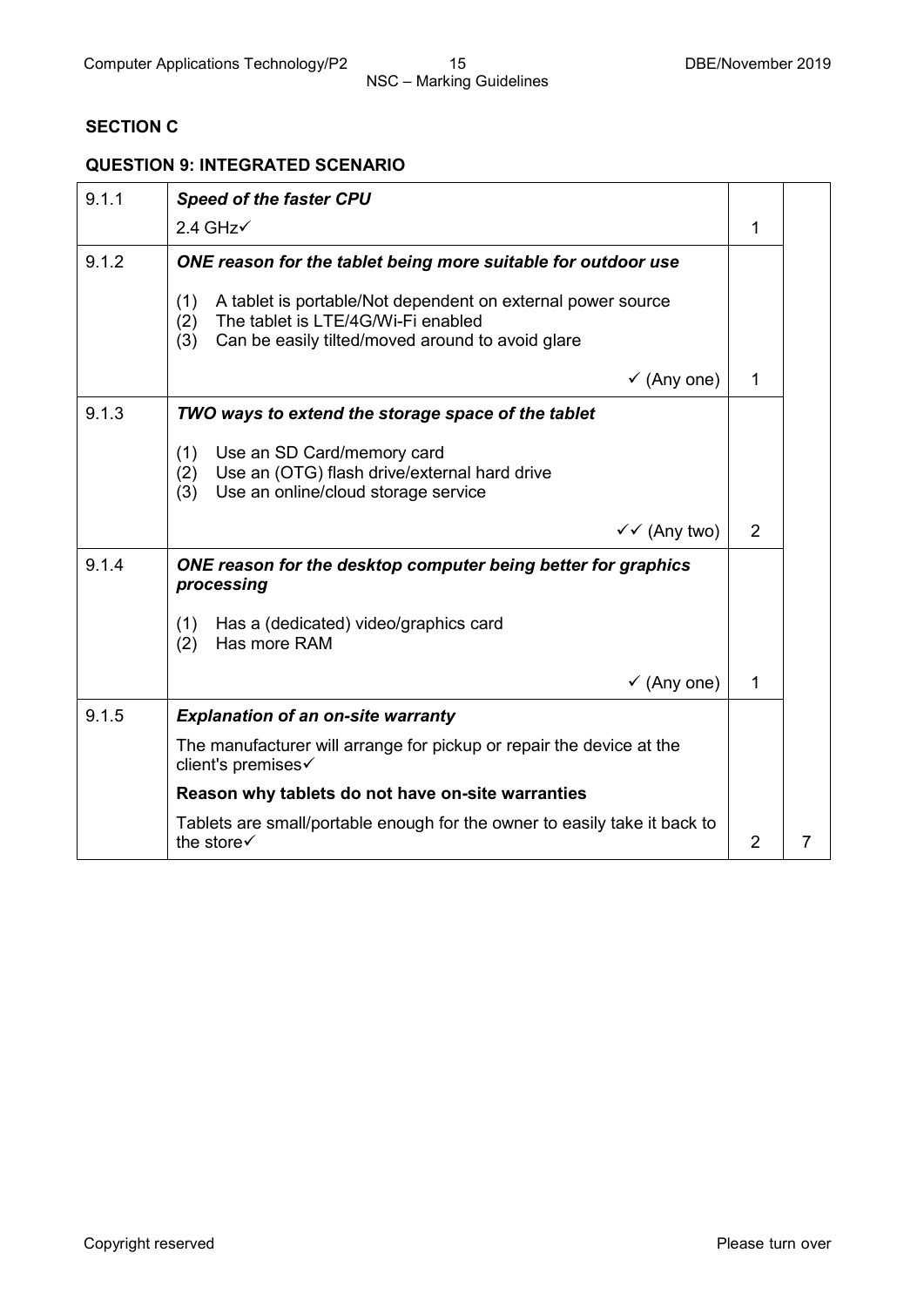## **SECTION C**

## **QUESTION 9: INTEGRATED SCENARIO**

| 9.1.1 | <b>Speed of the faster CPU</b>                                                                                                                                             |                |  |
|-------|----------------------------------------------------------------------------------------------------------------------------------------------------------------------------|----------------|--|
|       | $2.4$ GHz $\checkmark$                                                                                                                                                     | 1              |  |
| 9.1.2 | ONE reason for the tablet being more suitable for outdoor use                                                                                                              |                |  |
|       | (1)<br>A tablet is portable/Not dependent on external power source<br>The tablet is LTE/4G/Wi-Fi enabled<br>(2)<br>Can be easily tilted/moved around to avoid glare<br>(3) |                |  |
|       | $\checkmark$ (Any one)                                                                                                                                                     | $\mathbf{1}$   |  |
| 9.1.3 | TWO ways to extend the storage space of the tablet                                                                                                                         |                |  |
|       | Use an SD Card/memory card<br>(1)<br>Use an (OTG) flash drive/external hard drive<br>(2)<br>Use an online/cloud storage service<br>(3)                                     |                |  |
|       | $\checkmark$ (Any two)                                                                                                                                                     | 2              |  |
| 9.1.4 | ONE reason for the desktop computer being better for graphics<br>processing                                                                                                |                |  |
|       | (1)<br>Has a (dedicated) video/graphics card<br>Has more RAM<br>(2)                                                                                                        |                |  |
|       | $\checkmark$ (Any one)                                                                                                                                                     | 1              |  |
| 9.1.5 | <b>Explanation of an on-site warranty</b>                                                                                                                                  |                |  |
|       | The manufacturer will arrange for pickup or repair the device at the<br>client's premises√                                                                                 |                |  |
|       | Reason why tablets do not have on-site warranties                                                                                                                          |                |  |
|       | Tablets are small/portable enough for the owner to easily take it back to<br>the store√                                                                                    | $\overline{2}$ |  |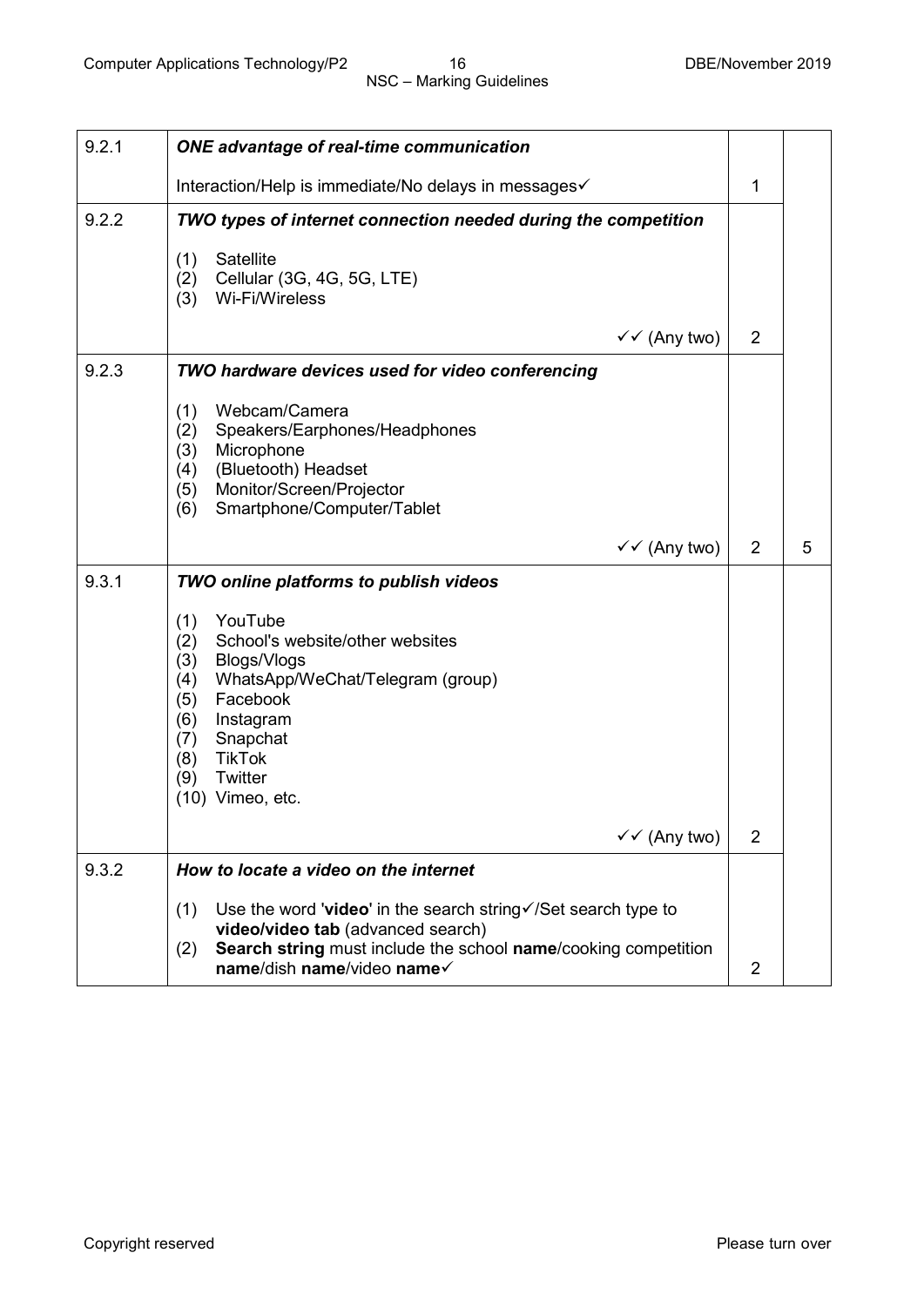| 9.2.1 | <b>ONE</b> advantage of real-time communication                                                                                                                                                                                                     |                |   |
|-------|-----------------------------------------------------------------------------------------------------------------------------------------------------------------------------------------------------------------------------------------------------|----------------|---|
|       | Interaction/Help is immediate/No delays in messages√                                                                                                                                                                                                | 1              |   |
| 9.2.2 | TWO types of internet connection needed during the competition                                                                                                                                                                                      |                |   |
|       | Satellite<br>(1)<br>Cellular (3G, 4G, 5G, LTE)<br>(2)<br>Wi-Fi/Wireless<br>(3)                                                                                                                                                                      |                |   |
|       | ✓✓ (Any two)                                                                                                                                                                                                                                        | $\overline{2}$ |   |
| 9.2.3 | TWO hardware devices used for video conferencing                                                                                                                                                                                                    |                |   |
|       | Webcam/Camera<br>(1)<br>Speakers/Earphones/Headphones<br>(2)<br>(3)<br>Microphone<br>(Bluetooth) Headset<br>(4)<br>Monitor/Screen/Projector<br>(5)<br>Smartphone/Computer/Tablet<br>(6)                                                             |                |   |
|       | $\checkmark$ (Any two)                                                                                                                                                                                                                              | $\overline{2}$ | 5 |
| 9.3.1 | TWO online platforms to publish videos                                                                                                                                                                                                              |                |   |
|       | YouTube<br>(1)<br>School's website/other websites<br>(2)<br>(3)<br>Blogs/Vlogs<br>WhatsApp/WeChat/Telegram (group)<br>(4)<br>Facebook<br>(5)<br>(6)<br>Instagram<br>Snapchat<br>(7)<br>(8)<br><b>TikTok</b><br>Twitter<br>(9)<br>$(10)$ Vimeo, etc. |                |   |
|       | $\checkmark$ (Any two)                                                                                                                                                                                                                              | $\overline{2}$ |   |
| 9.3.2 | How to locate a video on the internet                                                                                                                                                                                                               |                |   |
|       | Use the word 'video' in the search string $\sqrt{8}$ search type to<br>(1)<br>video/video tab (advanced search)<br>Search string must include the school name/cooking competition<br>(2)<br>name/dish name/video name√                              | $\overline{2}$ |   |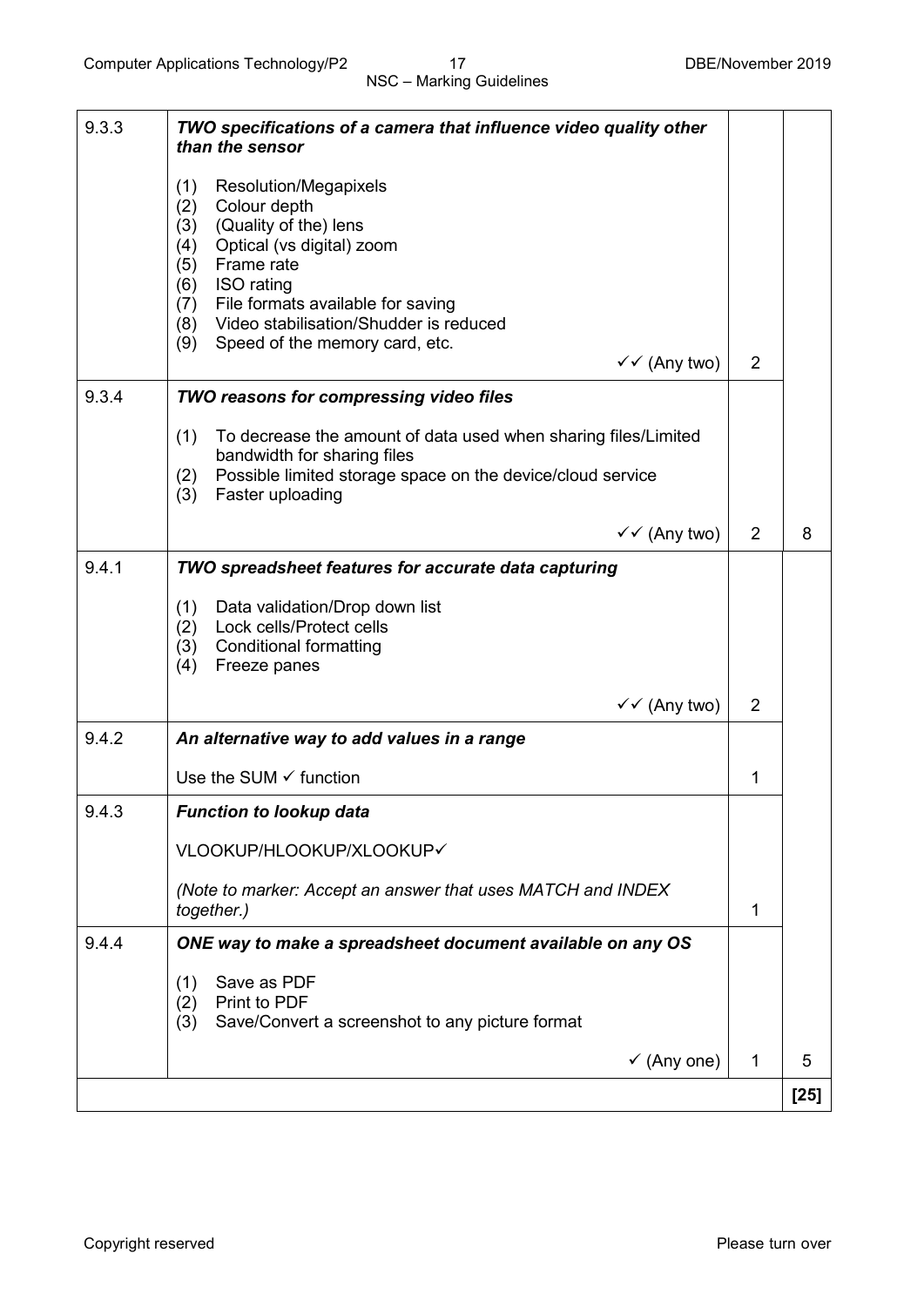| 9.3.3 | TWO specifications of a camera that influence video quality other                                    |                |        |
|-------|------------------------------------------------------------------------------------------------------|----------------|--------|
|       | than the sensor                                                                                      |                |        |
|       | (1)<br>Resolution/Megapixels<br>Colour depth<br>(2)                                                  |                |        |
|       | (Quality of the) lens<br>(3)<br>Optical (vs digital) zoom<br>(4)                                     |                |        |
|       | Frame rate<br>(5)                                                                                    |                |        |
|       | ISO rating<br>(6)<br>(7) File formats available for saving                                           |                |        |
|       | Video stabilisation/Shudder is reduced<br>(8)<br>(9)<br>Speed of the memory card, etc.               |                |        |
|       | $\checkmark$ (Any two)                                                                               | $\overline{2}$ |        |
| 9.3.4 | TWO reasons for compressing video files                                                              |                |        |
|       | (1)<br>To decrease the amount of data used when sharing files/Limited<br>bandwidth for sharing files |                |        |
|       | Possible limited storage space on the device/cloud service<br>(2)<br>Faster uploading<br>(3)         |                |        |
|       | $\checkmark$ (Any two)                                                                               | $\overline{2}$ | 8      |
| 9.4.1 | TWO spreadsheet features for accurate data capturing                                                 |                |        |
|       | Data validation/Drop down list<br>(1)<br>Lock cells/Protect cells<br>(2)                             |                |        |
|       | <b>Conditional formatting</b><br>(3)<br>Freeze panes<br>(4)                                          |                |        |
|       | $\checkmark$ (Any two)                                                                               | $\overline{2}$ |        |
| 9.4.2 | An alternative way to add values in a range                                                          |                |        |
|       | Use the SUM $\checkmark$ function                                                                    | 1              |        |
| 9.4.3 | <b>Function to lookup data</b>                                                                       |                |        |
|       | VLOOKUP/HLOOKUP/XLOOKUP√                                                                             |                |        |
|       | (Note to marker: Accept an answer that uses MATCH and INDEX<br>together.)                            | $\mathbf{1}$   |        |
| 9.4.4 | ONE way to make a spreadsheet document available on any OS                                           |                |        |
|       | Save as PDF<br>(1)<br>Print to PDF                                                                   |                |        |
|       | (2)<br>Save/Convert a screenshot to any picture format<br>(3)                                        |                |        |
|       | $\checkmark$ (Any one)                                                                               | 1              | 5      |
|       |                                                                                                      |                | $[25]$ |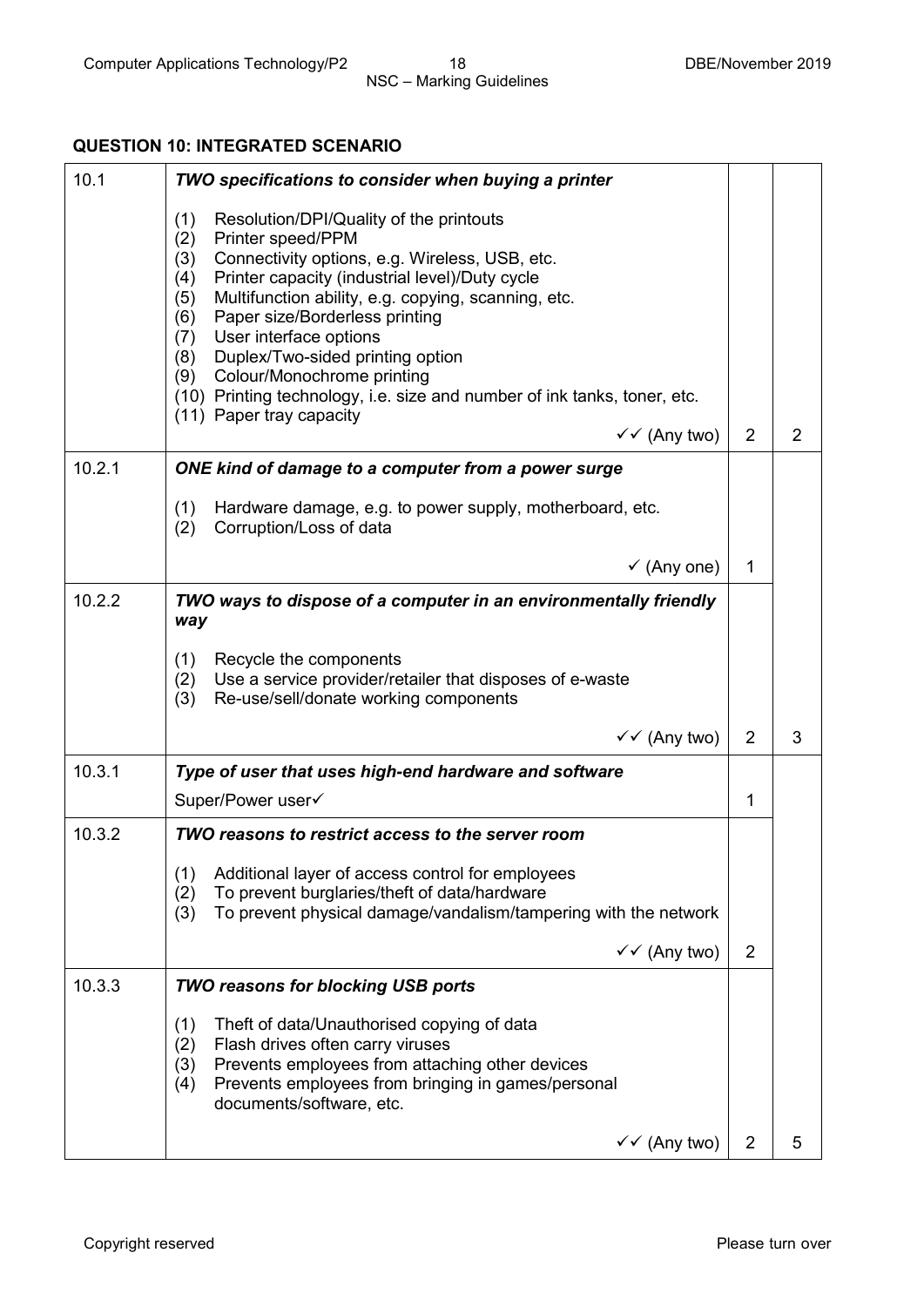## **QUESTION 10: INTEGRATED SCENARIO**

| 10.1   | TWO specifications to consider when buying a printer                                                                                                                                                                                                                                                                                                                                                                                                                                                                                             |                |                |
|--------|--------------------------------------------------------------------------------------------------------------------------------------------------------------------------------------------------------------------------------------------------------------------------------------------------------------------------------------------------------------------------------------------------------------------------------------------------------------------------------------------------------------------------------------------------|----------------|----------------|
|        | Resolution/DPI/Quality of the printouts<br>(1)<br>Printer speed/PPM<br>(2)<br>Connectivity options, e.g. Wireless, USB, etc.<br>(3)<br>Printer capacity (industrial level)/Duty cycle<br>(4)<br>Multifunction ability, e.g. copying, scanning, etc.<br>(5)<br>Paper size/Borderless printing<br>(6)<br>User interface options<br>(7)<br>(8) Duplex/Two-sided printing option<br>(9) Colour/Monochrome printing<br>(10) Printing technology, i.e. size and number of ink tanks, toner, etc.<br>(11) Paper tray capacity<br>$\checkmark$ (Any two) | 2              | $\overline{2}$ |
| 10.2.1 | ONE kind of damage to a computer from a power surge                                                                                                                                                                                                                                                                                                                                                                                                                                                                                              |                |                |
|        | (1)<br>Hardware damage, e.g. to power supply, motherboard, etc.<br>Corruption/Loss of data<br>(2)                                                                                                                                                                                                                                                                                                                                                                                                                                                |                |                |
|        | $\checkmark$ (Any one)                                                                                                                                                                                                                                                                                                                                                                                                                                                                                                                           | 1              |                |
| 10.2.2 | TWO ways to dispose of a computer in an environmentally friendly<br>way                                                                                                                                                                                                                                                                                                                                                                                                                                                                          |                |                |
|        | Recycle the components<br>(1)<br>Use a service provider/retailer that disposes of e-waste<br>(2)<br>(3)<br>Re-use/sell/donate working components                                                                                                                                                                                                                                                                                                                                                                                                 |                |                |
|        | $\checkmark$ (Any two)                                                                                                                                                                                                                                                                                                                                                                                                                                                                                                                           | $\overline{2}$ | 3              |
| 10.3.1 | Type of user that uses high-end hardware and software                                                                                                                                                                                                                                                                                                                                                                                                                                                                                            |                |                |
|        | Super/Power user√                                                                                                                                                                                                                                                                                                                                                                                                                                                                                                                                | 1              |                |
| 10.3.2 | TWO reasons to restrict access to the server room                                                                                                                                                                                                                                                                                                                                                                                                                                                                                                |                |                |
|        | (1)<br>Additional layer of access control for employees<br>To prevent burglaries/theft of data/hardware<br>(2)<br>To prevent physical damage/vandalism/tampering with the network<br>(3)                                                                                                                                                                                                                                                                                                                                                         |                |                |
|        | $\checkmark$ (Any two)                                                                                                                                                                                                                                                                                                                                                                                                                                                                                                                           | $\overline{2}$ |                |
| 10.3.3 | <b>TWO reasons for blocking USB ports</b>                                                                                                                                                                                                                                                                                                                                                                                                                                                                                                        |                |                |
|        | Theft of data/Unauthorised copying of data<br>(1)<br>Flash drives often carry viruses<br>(2)<br>Prevents employees from attaching other devices<br>(3)<br>Prevents employees from bringing in games/personal<br>(4)<br>documents/software, etc.                                                                                                                                                                                                                                                                                                  |                |                |
|        | $\checkmark$ (Any two)                                                                                                                                                                                                                                                                                                                                                                                                                                                                                                                           | $\overline{2}$ | 5              |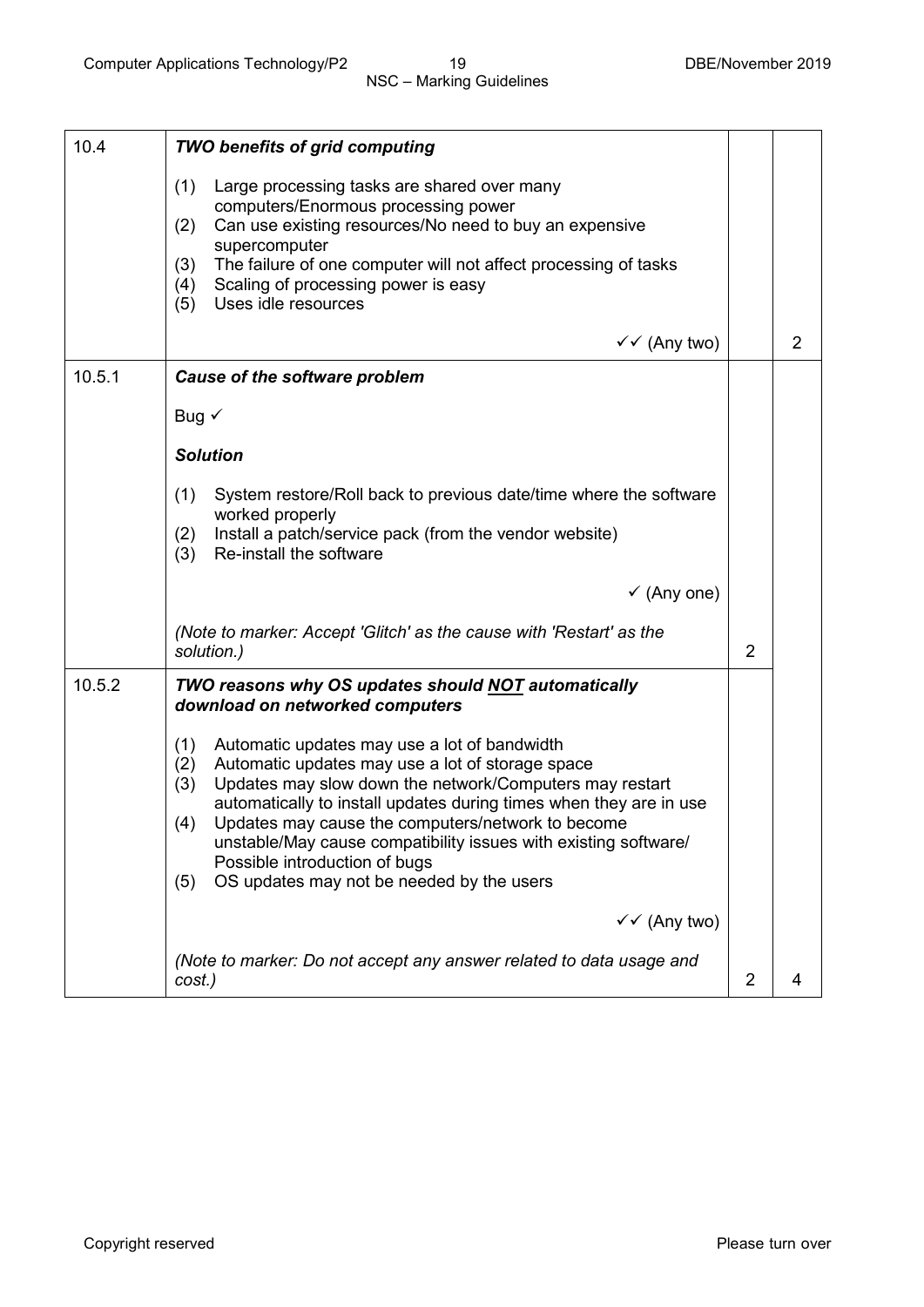| 10.4   | <b>TWO benefits of grid computing</b>                                                                                                                                                                                                                                                                                                                                                                                                                                      |                |                |
|--------|----------------------------------------------------------------------------------------------------------------------------------------------------------------------------------------------------------------------------------------------------------------------------------------------------------------------------------------------------------------------------------------------------------------------------------------------------------------------------|----------------|----------------|
|        | (1)<br>Large processing tasks are shared over many<br>computers/Enormous processing power<br>Can use existing resources/No need to buy an expensive<br>(2)<br>supercomputer<br>The failure of one computer will not affect processing of tasks<br>(3)<br>Scaling of processing power is easy<br>(4)<br>Uses idle resources<br>(5)                                                                                                                                          |                |                |
|        | $\checkmark$ (Any two)                                                                                                                                                                                                                                                                                                                                                                                                                                                     |                | $\overline{2}$ |
| 10.5.1 | Cause of the software problem                                                                                                                                                                                                                                                                                                                                                                                                                                              |                |                |
|        | Bug $\checkmark$                                                                                                                                                                                                                                                                                                                                                                                                                                                           |                |                |
|        | <b>Solution</b>                                                                                                                                                                                                                                                                                                                                                                                                                                                            |                |                |
|        | (1)<br>System restore/Roll back to previous date/time where the software<br>worked properly<br>Install a patch/service pack (from the vendor website)<br>(2)<br>Re-install the software<br>(3)                                                                                                                                                                                                                                                                             |                |                |
|        | $\checkmark$ (Any one)                                                                                                                                                                                                                                                                                                                                                                                                                                                     |                |                |
|        | (Note to marker: Accept 'Glitch' as the cause with 'Restart' as the<br>solution.)                                                                                                                                                                                                                                                                                                                                                                                          | 2              |                |
| 10.5.2 | TWO reasons why OS updates should NOT automatically<br>download on networked computers                                                                                                                                                                                                                                                                                                                                                                                     |                |                |
|        | (1)<br>Automatic updates may use a lot of bandwidth<br>Automatic updates may use a lot of storage space<br>(2)<br>Updates may slow down the network/Computers may restart<br>(3)<br>automatically to install updates during times when they are in use<br>Updates may cause the computers/network to become<br>(4)<br>unstable/May cause compatibility issues with existing software/<br>Possible introduction of bugs<br>OS updates may not be needed by the users<br>(5) |                |                |
|        | $\checkmark$ (Any two)                                                                                                                                                                                                                                                                                                                                                                                                                                                     |                |                |
|        | (Note to marker: Do not accept any answer related to data usage and<br>cost.)                                                                                                                                                                                                                                                                                                                                                                                              | $\overline{2}$ | 4              |